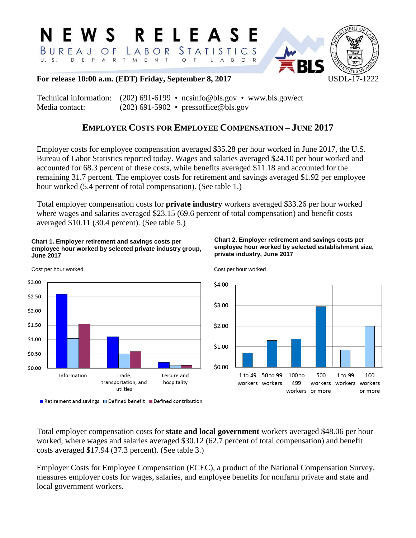#### N E W S R E L E A S E BUREAU STATIS OF LABOR  $C<sub>S</sub>$ D E P  $\mathbf{H}$   $\mathbf{S}$ A R T M E N T O F  $\mathsf{L}$  $\overline{A}$  $B$  $\circ$



### **For release 10:00 a.m. (EDT) Friday, September 8, 2017** USDL-17-1222

Technical information: (202) 691-6199 • [ncsinfo@bls.gov](mailto:NCSinfo@bls.gov) • [www.bls.gov/ect](http://www.bls.gov/ect) Media contact: (202) 691-5902 • pressoffice@bls.gov

# **EMPLOYER COSTS FOR EMPLOYEE COMPENSATION – JUNE 2017**

Employer costs for employee compensation averaged \$35.28 per hour worked in June 2017, the U.S. Bureau of Labor Statistics reported today. Wages and salaries averaged \$24.10 per hour worked and accounted for 68.3 percent of these costs, while benefits averaged \$11.18 and accounted for the remaining 31.7 percent. The employer costs for retirement and savings averaged \$1.92 per employee hour worked (5.4 percent of total compensation). (See table 1.)

Total employer compensation costs for **private industry** workers averaged \$33.26 per hour worked where wages and salaries averaged \$23.15 (69.6 percent of total compensation) and benefit costs averaged \$10.11 (30.4 percent). (See table 5.)

### **Chart 1. Employer retirement and savings costs per employee hour worked by selected private industry group, June 2017**



**Chart 2. Employer retirement and savings costs per employee hour worked by selected establishment size, private industry, June 2017**



Cost per hour worked

Total employer compensation costs for **state and local government** workers averaged \$48.06 per hour worked, where wages and salaries averaged \$30.12 (62.7 percent of total compensation) and benefit costs averaged \$17.94 (37.3 percent). (See table 3.)

Employer Costs for Employee Compensation (ECEC), a product of the National Compensation Survey, measures employer costs for wages, salaries, and employee benefits for nonfarm private and state and local government workers.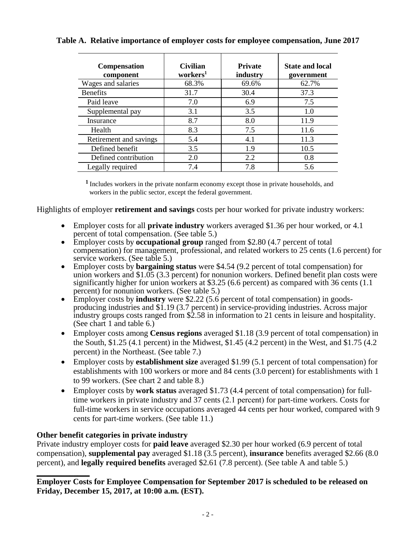| <b>Compensation</b><br>component | <b>Civilian</b><br>workers <sup>1</sup> | <b>Private</b><br>industry | <b>State and local</b><br>government |
|----------------------------------|-----------------------------------------|----------------------------|--------------------------------------|
| Wages and salaries               | 68.3%                                   | 69.6%                      | 62.7%                                |
| <b>Benefits</b>                  | 31.7                                    | 30.4                       | 37.3                                 |
| Paid leave                       | 7.0                                     | 6.9                        | 7.5                                  |
| Supplemental pay                 | 3.1                                     | 3.5                        | 1.0                                  |
| Insurance                        | 8.7                                     | 8.0                        | 11.9                                 |
| Health                           | 8.3                                     | 7.5                        | 11.6                                 |
| Retirement and savings           | 5.4                                     | 4.1                        | 11.3                                 |
| Defined benefit                  | 3.5                                     | 1.9                        | 10.5                                 |
| Defined contribution             | 2.0                                     | 2.2                        | 0.8                                  |
| Legally required                 | 7.4                                     | 7.8                        | 5.6                                  |

## **Table A. Relative importance of employer costs for employee compensation, June 2017**

**<sup>1</sup>**Includes workers in the private nonfarm economy except those in private households, and workers in the public sector, except the federal government.

Highlights of employer **retirement and savings** costs per hour worked for private industry workers:

- Employer costs for all **private industry** workers averaged \$1.36 per hour worked, or 4.1 percent of total compensation. (See table 5.)
- Employer costs by **occupational group** ranged from \$2.80 (4.7 percent of total compensation) for management, professional, and related workers to 25 cents (1.6 percent) for service workers. (See table 5.)
- Employer costs by **bargaining status** were \$4.54 (9.2 percent of total compensation) for union workers and \$1.05 (3.3 percent) for nonunion workers. Defined benefit plan costs were significantly higher for union workers at \$3.25 (6.6 percent) as compared with 36 cents (1.1) percent) for nonunion workers. (See table 5.)
- Employer costs by **industry** were \$2.22 (5.6 percent of total compensation) in goodsproducing industries and \$1.19 (3.7 percent) in service-providing industries. Across major industry groups costs ranged from \$2.58 in information to 21 cents in leisure and hospitality. (See chart 1 and table 6.)
- Employer costs among **Census regions** averaged \$1.18 (3.9 percent of total compensation) in the South, \$1.25 (4.1 percent) in the Midwest, \$1.45 (4.2 percent) in the West, and \$1.75 (4.2 percent) in the Northeast. (See table 7.)
- Employer costs by **establishment size** averaged \$1.99 (5.1 percent of total compensation) for establishments with 100 workers or more and 84 cents (3.0 percent) for establishments with 1 to 99 workers. (See chart 2 and table 8.)
- Employer costs by **work status** averaged \$1.73 (4.4 percent of total compensation) for fulltime workers in private industry and 37 cents (2.1 percent) for part-time workers. Costs for full-time workers in service occupations averaged 44 cents per hour worked, compared with 9 cents for part-time workers. (See table 11.)

### **Other benefit categories in private industry**

**\_\_\_\_\_\_\_\_\_\_\_\_\_**

Private industry employer costs for **paid leave** averaged \$2.30 per hour worked (6.9 percent of total compensation), **supplemental pay** averaged \$1.18 (3.5 percent), **insurance** benefits averaged \$2.66 (8.0 percent), and **legally required benefits** averaged \$2.61 (7.8 percent). (See table A and table 5.)

**Employer Costs for Employee Compensation for September 2017 is scheduled to be released on Friday, December 15, 2017, at 10:00 a.m. (EST).**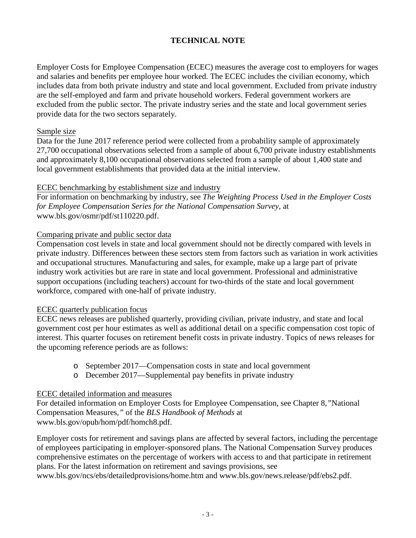### **TECHNICAL NOTE**

Employer Costs for Employee Compensation (ECEC) measures the average cost to employers for wages and salaries and benefits per employee hour worked. The ECEC includes the civilian economy, which includes data from both private industry and state and local government. Excluded from private industry are the self-employed and farm and private household workers. Federal government workers are excluded from the public sector. The private industry series and the state and local government series provide data for the two sectors separately.

### Sample size

Data for the June 2017 reference period were collected from a probability sample of approximately 27,700 occupational observations selected from a sample of about 6,700 private industry establishments and approximately 8,100 occupational observations selected from a sample of about 1,400 state and local government establishments that provided data at the initial interview.

### ECEC benchmarking by establishment size and industry

For information on benchmarking by industry, see *The Weighting Process Used in the Employer Costs for Employee Compensation Series for the National Compensation Survey*, at www.bls.gov/osmr/pdf/st110220.pdf.

### Comparing private and public sector data

Compensation cost levels in state and local government should not be directly compared with levels in private industry. Differences between these sectors stem from factors such as variation in work activities and occupational structures. Manufacturing and sales, for example, make up a large part of private industry work activities but are rare in state and local government. Professional and administrative support occupations (including teachers) account for two-thirds of the state and local government workforce, compared with one-half of private industry.

### ECEC quarterly publication focus

ECEC news releases are published quarterly, providing civilian, private industry, and state and local government cost per hour estimates as well as additional detail on a specific compensation cost topic of interest. This quarter focuses on retirement benefit costs in private industry. Topics of news releases for the upcoming reference periods are as follows:

- o September 2017—Compensation costs in state and local government
- o December 2017—Supplemental pay benefits in private industry

### ECEC detailed information and measures

For detailed information on Employer Costs for Employee Compensation, see Chapter 8*,"*National Compensation Measures*,"* of the *BLS Handbook of Methods* at www.bls.gov/opub/hom/pdf/homch8.pdf.

Employer costs for retirement and savings plans are affected by several factors, including the percentage of employees participating in employer-sponsored plans. The National Compensation Survey produces comprehensive estimates on the percentage of workers with access to and that participate in retirement plans. For the latest information on retirement and savings provisions, see

www.bls.gov/ncs/ebs/detailedprovisions/home.htm and www.bls.gov/news.release/pdf/ebs2.pdf.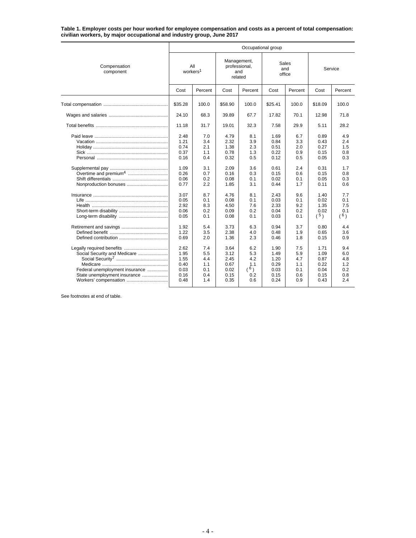**Table 1. Employer costs per hour worked for employee compensation and costs as a percent of total compensation: civilian workers, by major occupational and industry group, June 2017**

|                                                                                                                         | Occupational group                                                                                           |                                                                                                |                                                                                                              |                                                                                                |                                                                                                              |                                                                                                |                                                                                                             |                                                                                                |  |  |  |  |
|-------------------------------------------------------------------------------------------------------------------------|--------------------------------------------------------------------------------------------------------------|------------------------------------------------------------------------------------------------|--------------------------------------------------------------------------------------------------------------|------------------------------------------------------------------------------------------------|--------------------------------------------------------------------------------------------------------------|------------------------------------------------------------------------------------------------|-------------------------------------------------------------------------------------------------------------|------------------------------------------------------------------------------------------------|--|--|--|--|
| Compensation<br>component                                                                                               | workers <sup>1</sup>                                                                                         | All                                                                                            | Management,<br>professional,                                                                                 | and<br>related                                                                                 | Sales<br>office                                                                                              | and                                                                                            | Service                                                                                                     |                                                                                                |  |  |  |  |
|                                                                                                                         | Cost                                                                                                         | Percent                                                                                        | Cost                                                                                                         | Percent                                                                                        | Cost                                                                                                         | Percent                                                                                        | Cost                                                                                                        | Percent                                                                                        |  |  |  |  |
|                                                                                                                         | \$35.28                                                                                                      | 100.0                                                                                          | \$58.90                                                                                                      | 100.0                                                                                          | \$25.41                                                                                                      | 100.0                                                                                          | \$18.09                                                                                                     | 100.0                                                                                          |  |  |  |  |
|                                                                                                                         | 24.10                                                                                                        | 68.3                                                                                           | 39.89                                                                                                        | 67.7                                                                                           | 17.82                                                                                                        | 70.1                                                                                           | 12.98                                                                                                       | 71.8                                                                                           |  |  |  |  |
|                                                                                                                         | 11.18                                                                                                        | 31.7                                                                                           | 19.01                                                                                                        | 32.3                                                                                           | 7.58                                                                                                         | 29.9                                                                                           | 5.11                                                                                                        | 28.2                                                                                           |  |  |  |  |
| Nonproduction bonuses                                                                                                   | 2.48<br>1.21<br>0.74<br>0.37<br>0.16<br>1.09<br>0.26<br>0.06<br>0.77<br>3.07<br>0.05<br>2.92<br>0.06<br>0.05 | 7.0<br>3.4<br>2.1<br>1.1<br>0.4<br>3.1<br>0.7<br>0.2<br>2.2<br>8.7<br>0.1<br>8.3<br>0.2<br>0.1 | 4.79<br>2.32<br>1.38<br>0.78<br>0.32<br>2.09<br>0.16<br>0.08<br>1.85<br>4.76<br>0.08<br>4.50<br>0.09<br>0.08 | 8.1<br>3.9<br>2.3<br>1.3<br>0.5<br>3.6<br>0.3<br>0.1<br>3.1<br>8.1<br>0.1<br>7.6<br>0.2<br>0.1 | 1.69<br>0.84<br>0.51<br>0.22<br>0.12<br>0.61<br>0.15<br>0.02<br>0.44<br>2.43<br>0.03<br>2.33<br>0.04<br>0.03 | 6.7<br>3.3<br>2.0<br>0.9<br>0.5<br>2.4<br>0.6<br>0.1<br>1.7<br>9.6<br>0.1<br>9.2<br>0.2<br>0.1 | 0.89<br>0.43<br>0.27<br>0.15<br>0.05<br>0.31<br>0.15<br>0.05<br>0.11<br>1.40<br>0.02<br>1.35<br>0.02<br>(5) | 4.9<br>2.4<br>1.5<br>0.8<br>0.3<br>1.7<br>0.8<br>0.3<br>0.6<br>7.7<br>0.1<br>7.5<br>0.1<br>(6) |  |  |  |  |
|                                                                                                                         | 1.92<br>1.22<br>0.69                                                                                         | 5.4<br>3.5<br>2.0                                                                              | 3.73<br>2.38<br>1.36                                                                                         | 6.3<br>4.0<br>2.3                                                                              | 0.94<br>0.48<br>0.46                                                                                         | 3.7<br>1.9<br>1.8                                                                              | 0.80<br>0.65<br>0.15                                                                                        | 4.4<br>3.6<br>0.9                                                                              |  |  |  |  |
| Social Security and Medicare<br>Federal unemployment insurance<br>State unemployment insurance<br>Workers' compensation | 2.62<br>1.95<br>1.55<br>0.40<br>0.03<br>0.16<br>0.48                                                         | 7.4<br>5.5<br>4.4<br>1.1<br>0.1<br>0.4<br>1.4                                                  | 3.64<br>3.12<br>2.45<br>0.67<br>0.02<br>0.15<br>0.35                                                         | 6.2<br>5.3<br>4.2<br>1.1<br>(6)<br>0.2<br>0.6                                                  | 1.90<br>1.49<br>1.20<br>0.29<br>0.03<br>0.15<br>0.24                                                         | 7.5<br>5.9<br>4.7<br>1.1<br>0.1<br>0.6<br>0.9                                                  | 1.71<br>1.09<br>0.87<br>0.22<br>0.04<br>0.15<br>0.43                                                        | 9.4<br>6.0<br>4.8<br>1.2<br>0.2<br>0.8<br>2.4                                                  |  |  |  |  |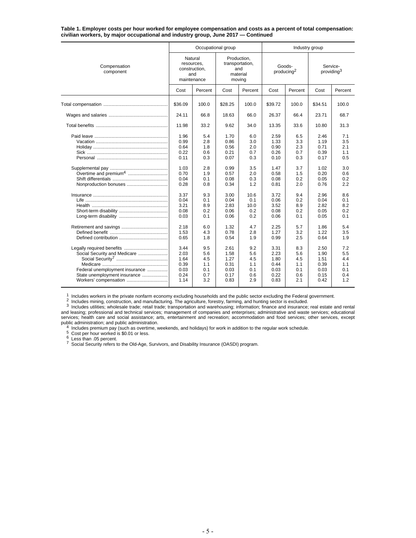**Table 1. Employer costs per hour worked for employee compensation and costs as a percent of total compensation: civilian workers, by major occupational and industry group, June 2017 — Continued**

|                                                                                                                         |                                                              | Occupational group                            |                                                      |                                               | Industry group                                       |                                               |                                                      |                                               |  |
|-------------------------------------------------------------------------------------------------------------------------|--------------------------------------------------------------|-----------------------------------------------|------------------------------------------------------|-----------------------------------------------|------------------------------------------------------|-----------------------------------------------|------------------------------------------------------|-----------------------------------------------|--|
| Compensation<br>component                                                                                               | Natural<br>resources,<br>construction,<br>and<br>maintenance |                                               | Production.<br>moving                                | transportation,<br>and<br>material            |                                                      | Goods-<br>producing <sup>2</sup>              | Service-<br>providing <sup>3</sup>                   |                                               |  |
|                                                                                                                         | Cost                                                         | Percent                                       | Cost                                                 | Percent                                       | Cost                                                 | Percent                                       | Cost                                                 | Percent                                       |  |
|                                                                                                                         | \$36.09                                                      | 100.0                                         | \$28.25                                              | 100.0                                         | \$39.72                                              | 100.0                                         | \$34.51                                              | 100.0                                         |  |
|                                                                                                                         | 24.11                                                        | 66.8                                          | 18.63                                                | 66.0                                          | 26.37                                                | 66.4                                          | 23.71                                                | 68.7                                          |  |
|                                                                                                                         | 11.98                                                        | 33.2                                          | 9.62                                                 | 34.0                                          | 13.35                                                | 33.6                                          | 10.80                                                | 31.3                                          |  |
|                                                                                                                         | 1.96<br>0.99<br>0.64<br>0.22<br>0.11                         | 5.4<br>2.8<br>1.8<br>0.6<br>0.3               | 1.70<br>0.86<br>0.56<br>0.21<br>0.07                 | 6.0<br>3.0<br>2.0<br>0.7<br>0.3               | 2.59<br>1.33<br>0.90<br>0.26<br>0.10                 | 6.5<br>3.3<br>2.3<br>0.7<br>0.3               | 2.46<br>1.19<br>0.71<br>0.39<br>0.17                 | 7.1<br>3.5<br>2.1<br>1.1<br>0.5               |  |
| Nonproduction bonuses                                                                                                   | 1.03<br>0.70<br>0.04<br>0.28                                 | 2.8<br>1.9<br>0.1<br>0.8                      | 0.99<br>0.57<br>0.08<br>0.34                         | 3.5<br>2.0<br>0.3<br>1.2                      | 1.47<br>0.58<br>0.08<br>0.81                         | 3.7<br>1.5<br>0.2<br>2.0                      | 1.02<br>0.20<br>0.05<br>0.76                         | 3.0<br>0.6<br>0.2<br>2.2                      |  |
|                                                                                                                         | 3.37<br>0.04<br>3.21<br>0.08<br>0.03                         | 9.3<br>0.1<br>8.9<br>0.2<br>0.1               | 3.00<br>0.04<br>2.83<br>0.06<br>0.06                 | 10.6<br>0.1<br>10.0<br>0.2<br>0.2             | 3.72<br>0.06<br>3.52<br>0.08<br>0.06                 | 9.4<br>0.2<br>8.9<br>0.2<br>0.1               | 2.96<br>0.04<br>2.82<br>0.05<br>0.05                 | 8.6<br>0.1<br>8.2<br>0.2<br>0.1               |  |
|                                                                                                                         | 2.18<br>1.53<br>0.65                                         | 6.0<br>4.3<br>1.8                             | 1.32<br>0.78<br>0.54                                 | 4.7<br>2.8<br>1.9                             | 2.25<br>1.27<br>0.99                                 | 5.7<br>3.2<br>2.5                             | 1.86<br>1.22<br>0.64                                 | 5.4<br>3.5<br>1.9                             |  |
| Social Security and Medicare<br>Federal unemployment insurance<br>State unemployment insurance<br>Workers' compensation | 3.44<br>2.03<br>1.64<br>0.39<br>0.03<br>0.24<br>1.14         | 9.5<br>5.6<br>4.5<br>1.1<br>0.1<br>0.7<br>3.2 | 2.61<br>1.58<br>1.27<br>0.31<br>0.03<br>0.17<br>0.83 | 9.2<br>5.6<br>4.5<br>1.1<br>0.1<br>0.6<br>2.9 | 3.31<br>2.23<br>1.80<br>0.44<br>0.03<br>0.22<br>0.83 | 8.3<br>5.6<br>4.5<br>1.1<br>0.1<br>0.6<br>2.1 | 2.50<br>1.90<br>1.51<br>0.39<br>0.03<br>0.15<br>0.42 | 7.2<br>5.5<br>4.4<br>1.1<br>0.1<br>0.4<br>1.2 |  |

<sup>1</sup> Includes workers in the private nonfarm economy excluding households and the public sector excluding the Federal government.<br><sup>2</sup> Includes mining, construction, and manufacturing. The agriculture, forestry, farming, an services; health care and social assistance; arts, entertainment and recreation; accommodation and food services; other services, except public administration; and public administration.<br>
4 Includes premium pay (such as overtime, weekends, and holidays) for work in addition to the regular work schedule.<br>
5 Cost per hour worked is \$0.01 or less.<br>
6 Less than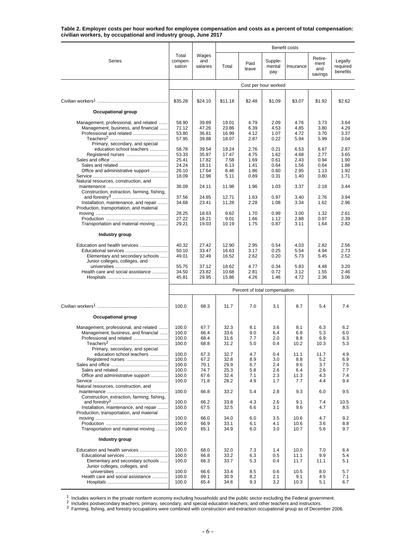**Table 2. Employer costs per hour worked for employee compensation and costs as a percent of total compensation: civilian workers, by occupational and industry group, June 2017**

|                                                                                                                                                                          |                                                    |                                                    | Benefit costs                                      |                                              |                                              |                                              |                                              |                                              |  |
|--------------------------------------------------------------------------------------------------------------------------------------------------------------------------|----------------------------------------------------|----------------------------------------------------|----------------------------------------------------|----------------------------------------------|----------------------------------------------|----------------------------------------------|----------------------------------------------|----------------------------------------------|--|
| Series                                                                                                                                                                   | Total<br>compen-<br>sation                         | Wages<br>and<br>salaries                           | Total                                              | Paid<br>leave                                | Supple-<br>mental<br>pay                     | Insurance                                    | Retire-<br>ment<br>and<br>savings            | Legally<br>required<br>benefits              |  |
|                                                                                                                                                                          |                                                    |                                                    |                                                    |                                              | Cost per hour worked                         |                                              |                                              |                                              |  |
|                                                                                                                                                                          | \$35.28                                            | \$24.10                                            | \$11.18                                            | \$2.48                                       | \$1.09                                       | \$3.07                                       | \$1.92                                       | \$2.62                                       |  |
| <b>Occupational group</b>                                                                                                                                                |                                                    |                                                    |                                                    |                                              |                                              |                                              |                                              |                                              |  |
| Management, professional, and related<br>Management, business, and financial<br>Professional and related<br>Primary, secondary, and special<br>education school teachers | 58.90<br>71.12<br>53.80<br>57.95<br>58.78<br>53.33 | 39.89<br>47.26<br>36.81<br>39.88<br>39.54<br>35.87 | 19.01<br>23.86<br>16.99<br>18.07<br>19.24<br>17.47 | 4.79<br>6.39<br>4.12<br>2.87<br>2.76<br>4.75 | 2.09<br>4.53<br>1.07<br>0.22<br>0.21<br>1.62 | 4.76<br>4.85<br>4.72<br>5.94<br>6.53<br>4.68 | 3.73<br>3.80<br>3.70<br>5.99<br>6.87<br>2.77 | 3.64<br>4.29<br>3.37<br>3.04<br>2.87<br>3.65 |  |
| Office and administrative support<br>Natural resources, construction, and                                                                                                | 25.41<br>24.24<br>26.10<br>18.09                   | 17.82<br>18.11<br>17.64<br>12.98                   | 7.58<br>6.13<br>8.46<br>5.11                       | 1.69<br>1.41<br>1.86<br>0.89                 | 0.61<br>0.64<br>0.60<br>0.31                 | 2.43<br>1.56<br>2.95<br>1.40                 | 0.94<br>0.64<br>1.13<br>0.80                 | 1.90<br>1.88<br>1.92<br>1.71                 |  |
| Construction, extraction, farming, fishing,                                                                                                                              | 36.09                                              | 24.11                                              | 11.98                                              | 1.96                                         | 1.03                                         | 3.37                                         | 2.18                                         | 3.44                                         |  |
| Installation, maintenance, and repair<br>Production, transportation, and material                                                                                        | 37.56<br>34.68                                     | 24.85<br>23.41                                     | 12.71<br>11.28                                     | 1.63<br>2.28                                 | 0.97<br>1.08                                 | 3.40<br>3.34                                 | 2.76<br>1.62                                 | 3.94<br>2.96                                 |  |
| Transportation and material moving                                                                                                                                       | 28.25<br>27.22<br>29.21                            | 18.63<br>18.21<br>19.03                            | 9.62<br>9.01<br>10.19                              | 1.70<br>1.66<br>1.75                         | 0.99<br>1.12<br>0.87                         | 3.00<br>2.88<br>3.11                         | 1.32<br>0.97<br>1.64                         | 2.61<br>2.39<br>2.82                         |  |
| Industry group                                                                                                                                                           |                                                    |                                                    |                                                    |                                              |                                              |                                              |                                              |                                              |  |
| Education and health services<br>Educational services<br>Elementary and secondary schools<br>Junior colleges, colleges, and                                              | 40.32<br>50.10<br>49.01                            | 27.42<br>33.47<br>32.49                            | 12.90<br>16.63<br>16.52                            | 2.95<br>3.17<br>2.62                         | 0.54<br>0.25<br>0.20                         | 4.03<br>5.54<br>5.73                         | 2.82<br>4.94<br>5.45                         | 2.56<br>2.73<br>2.52                         |  |
| Health care and social assistance                                                                                                                                        | 55.75<br>34.50<br>45.81                            | 37.12<br>23.82<br>29.95                            | 18.62<br>10.68<br>15.86                            | 4.77<br>2.81<br>4.26                         | 0.34<br>0.72<br>1.46                         | 5.83<br>3.12<br>4.72                         | 4.48<br>1.55<br>2.36                         | 3.20<br>2.46<br>3.06                         |  |
|                                                                                                                                                                          |                                                    |                                                    |                                                    | Percent of total compensation                |                                              |                                              |                                              |                                              |  |
|                                                                                                                                                                          | 100.0                                              | 68.3                                               | 31.7                                               | 7.0                                          | 3.1                                          | 8.7                                          | 5.4                                          | 7.4                                          |  |
| Occupational group                                                                                                                                                       |                                                    |                                                    |                                                    |                                              |                                              |                                              |                                              |                                              |  |
| Management, professional, and related<br>Management, business, and financial<br>Primary, secondary, and special                                                          | 100.0<br>100.0<br>100.0<br>100.0                   | 67.7<br>66.4<br>68.4<br>68.8                       | 32.3<br>33.6<br>31.6<br>31.2                       | 8.1<br>9.0<br>7.7<br>5.0                     | 3.6<br>6.4<br>2.0<br>0.4                     | 8.1<br>6.8<br>8.8<br>10.2                    | 6.3<br>5.3<br>6.9<br>10.3                    | 6.2<br>6.0<br>6.3<br>5.3                     |  |
| education school teachers<br>Office and administrative support<br>Natural resources, construction, and                                                                   | 100.0<br>100.0<br>100.0<br>100.0<br>100.0<br>100.0 | 67.3<br>67.2<br>70.1<br>74.7<br>67.6<br>71.8       | 32.7<br>32.8<br>29.9<br>25.3<br>32.4<br>28.2       | 4.7<br>8.9<br>6.7<br>5.8<br>7.1<br>4.9       | 0.4<br>3.0<br>2.4<br>2.6<br>2.3<br>1.7       | 11.1<br>8.8<br>9.6<br>6.4<br>11.3<br>7.7     | 11.7<br>5.2<br>3.7<br>2.6<br>4.3<br>4.4      | 4.9<br>6.9<br>7.5<br>7.7<br>7.4<br>9.4       |  |
| Construction, extraction, farming, fishing,                                                                                                                              | 100.0                                              | 66.8                                               | 33.2                                               | 5.4                                          | 2.8                                          | 9.3                                          | 6.0                                          | 9.5                                          |  |
| Installation, maintenance, and repair<br>Production, transportation, and material                                                                                        | 100.0<br>100.0                                     | 66.2<br>67.5                                       | 33.8<br>32.5                                       | 4.3<br>6.6                                   | 2.6<br>3.1                                   | 9.1<br>9.6                                   | 7.4<br>4.7                                   | 10.5<br>8.5                                  |  |
| Transportation and material moving                                                                                                                                       | 100.0<br>100.0<br>100.0                            | 66.0<br>66.9<br>65.1                               | 34.0<br>33.1<br>34.9                               | 6.0<br>6.1<br>6.0                            | 3.5<br>4.1<br>3.0                            | 10.6<br>10.6<br>10.7                         | 4.7<br>3.6<br>5.6                            | 9.2<br>8.8<br>9.7                            |  |
| Industry group                                                                                                                                                           |                                                    |                                                    |                                                    |                                              |                                              |                                              |                                              |                                              |  |
| Education and health services<br>Educational services<br>Elementary and secondary schools<br>Junior colleges, colleges, and                                              | 100.0<br>100.0<br>100.0                            | 68.0<br>66.8<br>66.3                               | 32.0<br>33.2<br>33.7                               | 7.3<br>6.3<br>5.3                            | 1.4<br>0.5<br>0.4                            | 10.0<br>11.1<br>11.7                         | 7.0<br>9.9<br>11.1                           | 6.4<br>5.4<br>5.1                            |  |
| Health care and social assistance                                                                                                                                        | 100.0<br>100.0<br>100.0                            | 66.6<br>69.1<br>65.4                               | 33.4<br>30.9<br>34.6                               | 8.5<br>8.2<br>9.3                            | 0.6<br>2.1<br>3.2                            | 10.5<br>9.1<br>10.3                          | 8.0<br>4.5<br>5.1                            | 5.7<br>7.1<br>6.7                            |  |

1 Includes workers in the private nonfarm economy excluding households and the public sector excluding the Federal government.<br>
<sup>2</sup> Includes postsecondary teachers; primary, secondary, and special education teachers; and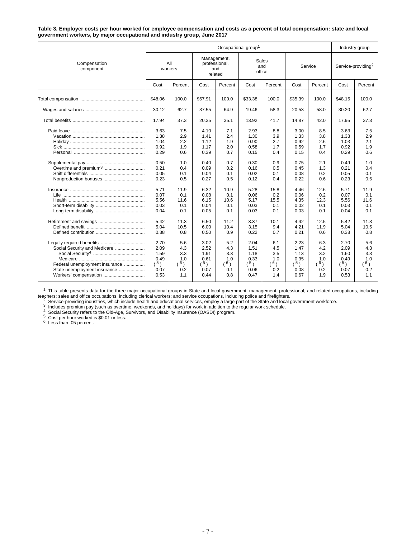**Table 3. Employer costs per hour worked for employee compensation and costs as a percent of total compensation: state and local government workers, by major occupational and industry group, June 2017**

|                                                                                                                         |                                                                                                              |                                                                                                  |                                                                                                              | Industry group                                                                                   |                                                                                                              |                                                                                                  |                                                                                                              |                                                                                                  |                                                                                                              |                                                                                                  |
|-------------------------------------------------------------------------------------------------------------------------|--------------------------------------------------------------------------------------------------------------|--------------------------------------------------------------------------------------------------|--------------------------------------------------------------------------------------------------------------|--------------------------------------------------------------------------------------------------|--------------------------------------------------------------------------------------------------------------|--------------------------------------------------------------------------------------------------|--------------------------------------------------------------------------------------------------------------|--------------------------------------------------------------------------------------------------|--------------------------------------------------------------------------------------------------------------|--------------------------------------------------------------------------------------------------|
| Compensation<br>component                                                                                               |                                                                                                              | All<br>workers                                                                                   | Management,<br>professional,<br>and<br>related                                                               |                                                                                                  | Sales<br>and<br>office                                                                                       |                                                                                                  | Service                                                                                                      |                                                                                                  | Service-providing <sup>2</sup>                                                                               |                                                                                                  |
|                                                                                                                         | Cost                                                                                                         | Percent                                                                                          | Cost                                                                                                         | Percent                                                                                          | Cost                                                                                                         | Percent                                                                                          | Cost                                                                                                         | Percent                                                                                          | Cost                                                                                                         | Percent                                                                                          |
|                                                                                                                         | \$48.06                                                                                                      | 100.0                                                                                            | \$57.91                                                                                                      | 100.0                                                                                            | \$33.38                                                                                                      | 100.0                                                                                            | \$35.39                                                                                                      | 100.0                                                                                            | \$48.15                                                                                                      | 100.0                                                                                            |
|                                                                                                                         | 30.12                                                                                                        | 62.7                                                                                             | 37.55                                                                                                        | 64.9                                                                                             | 19.46                                                                                                        | 58.3                                                                                             | 20.53                                                                                                        | 58.0                                                                                             | 30.20                                                                                                        | 62.7                                                                                             |
|                                                                                                                         | 17.94                                                                                                        | 37.3                                                                                             | 20.35                                                                                                        | 35.1                                                                                             | 13.92                                                                                                        | 41.7                                                                                             | 14.87                                                                                                        | 42.0                                                                                             | 17.95                                                                                                        | 37.3                                                                                             |
| Nonproduction bonuses                                                                                                   | 3.63<br>1.38<br>1.04<br>0.92<br>0.29<br>0.50<br>0.21<br>0.05<br>0.23<br>5.71<br>0.07<br>5.56<br>0.03<br>0.04 | 7.5<br>2.9<br>2.2<br>1.9<br>0.6<br>1.0<br>0.4<br>0.1<br>0.5<br>11.9<br>0.1<br>11.6<br>0.1<br>0.1 | 4.10<br>1.41<br>1.12<br>1.17<br>0.39<br>0.40<br>0.09<br>0.04<br>0.27<br>6.32<br>0.08<br>6.15<br>0.04<br>0.05 | 7.1<br>2.4<br>1.9<br>2.0<br>0.7<br>0.7<br>0.2<br>0.1<br>0.5<br>10.9<br>0.1<br>10.6<br>0.1<br>0.1 | 2.93<br>1.30<br>0.90<br>0.58<br>0.15<br>0.30<br>0.16<br>0.02<br>0.12<br>5.28<br>0.06<br>5.17<br>0.03<br>0.03 | 8.8<br>3.9<br>2.7<br>1.7<br>0.4<br>0.9<br>0.5<br>0.1<br>0.4<br>15.8<br>0.2<br>15.5<br>0.1<br>0.1 | 3.00<br>1.33<br>0.92<br>0.59<br>0.15<br>0.75<br>0.45<br>0.08<br>0.22<br>4.46<br>0.06<br>4.35<br>0.02<br>0.03 | 8.5<br>3.8<br>2.6<br>1.7<br>0.4<br>2.1<br>1.3<br>0.2<br>0.6<br>12.6<br>0.2<br>12.3<br>0.1<br>0.1 | 3.63<br>1.38<br>1.03<br>0.92<br>0.29<br>0.49<br>0.21<br>0.05<br>0.23<br>5.71<br>0.07<br>5.56<br>0.03<br>0.04 | 7.5<br>2.9<br>2.1<br>1.9<br>0.6<br>1.0<br>0.4<br>0.1<br>0.5<br>11.9<br>0.1<br>11.6<br>0.1<br>0.1 |
| Social Security and Medicare<br>Federal unemployment insurance<br>State unemployment insurance<br>Workers' compensation | 5.42<br>5.04<br>0.38<br>2.70<br>2.09<br>1.59<br>0.49<br>(5)<br>0.07<br>0.53                                  | 11.3<br>10.5<br>0.8<br>5.6<br>4.3<br>3.3<br>1.0<br>(6)<br>0.2<br>1.1                             | 6.50<br>6.00<br>0.50<br>3.02<br>2.52<br>1.91<br>0.61<br>(5)<br>0.07<br>0.44                                  | 11.2<br>10.4<br>0.9<br>5.2<br>4.3<br>3.3<br>1.0<br>(6)<br>0.1<br>0.8                             | 3.37<br>3.15<br>0.22<br>2.04<br>1.51<br>1.18<br>0.33<br>(5)<br>0.06<br>0.47                                  | 10.1<br>9.4<br>0.7<br>6.1<br>4.5<br>3.5<br>1.0<br>(6)<br>0.2<br>1.4                              | 4.42<br>4.21<br>0.21<br>2.23<br>1.47<br>1.13<br>0.35<br>(5)<br>0.08<br>0.67                                  | 12.5<br>11.9<br>0.6<br>6.3<br>4.2<br>3.2<br>1.0<br>(6)<br>0.2<br>1.9                             | 5.42<br>5.04<br>0.38<br>2.70<br>2.09<br>1.60<br>0.49<br>(5)<br>0.07<br>0.53                                  | 11.3<br>10.5<br>0.8<br>5.6<br>4.3<br>3.3<br>1.0<br>(6)<br>0.2<br>1.1                             |

<sup>1</sup> This table presents data for the three major occupational groups in State and local government: management, professional, and related occupations, including This table presents data for the three major occupational groups in state and local government: management, protessional, and related occupations, including policing policing policing and office occupations, including pol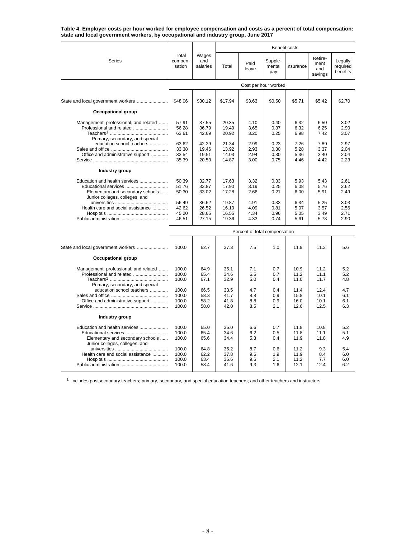**Table 4. Employer costs per hour worked for employee compensation and costs as a percent of total compensation: state and local government workers, by occupational and industry group, June 2017**

|                                                                                                                             |                                           |                                           | Benefit costs                             |                                      |                                      |                                      |                                      |                                      |  |  |  |
|-----------------------------------------------------------------------------------------------------------------------------|-------------------------------------------|-------------------------------------------|-------------------------------------------|--------------------------------------|--------------------------------------|--------------------------------------|--------------------------------------|--------------------------------------|--|--|--|
| Series                                                                                                                      | Total<br>compen-<br>sation                | Wages<br>and<br>salaries                  | Total                                     | Paid<br>leave                        | Supple-<br>mental<br>pay             | Insurance                            | Retire-<br>ment<br>and<br>savings    | Legally<br>required<br>benefits      |  |  |  |
|                                                                                                                             |                                           |                                           |                                           |                                      | Cost per hour worked                 |                                      |                                      |                                      |  |  |  |
|                                                                                                                             | \$48.06                                   | \$30.12                                   | \$17.94                                   | \$3.63                               | \$0.50                               | \$5.71                               | \$5.42                               | \$2.70                               |  |  |  |
| Occupational group                                                                                                          |                                           |                                           |                                           |                                      |                                      |                                      |                                      |                                      |  |  |  |
| Management, professional, and related<br>Primary, secondary, and special<br>education school teachers                       | 57.91<br>56.28<br>63.61<br>63.62<br>33.38 | 37.55<br>36.79<br>42.69<br>42.29<br>19.46 | 20.35<br>19.49<br>20.92<br>21.34<br>13.92 | 4.10<br>3.65<br>3.20<br>2.99<br>2.93 | 0.40<br>0.37<br>0.25<br>0.23<br>0.30 | 6.32<br>6.32<br>6.98<br>7.26<br>5.28 | 6.50<br>6.25<br>7.42<br>7.89<br>3.37 | 3.02<br>2.90<br>3.07<br>2.97<br>2.04 |  |  |  |
| Office and administrative support                                                                                           | 33.54<br>35.39                            | 19.51<br>20.53                            | 14.03<br>14.87                            | 2.94<br>3.00                         | 0.30<br>0.75                         | 5.36<br>4.46                         | 3.40<br>4.42                         | 2.04<br>2.23                         |  |  |  |
| Industry group                                                                                                              |                                           |                                           |                                           |                                      |                                      |                                      |                                      |                                      |  |  |  |
| Education and health services<br>Elementary and secondary schools<br>Junior colleges, colleges, and                         | 50.39<br>51.76<br>50.30                   | 32.77<br>33.87<br>33.02                   | 17.63<br>17.90<br>17.28                   | 3.32<br>3.19<br>2.66                 | 0.33<br>0.25<br>0.21                 | 5.93<br>6.08<br>6.00                 | 5.43<br>5.76<br>5.91                 | 2.61<br>2.62<br>2.49                 |  |  |  |
| Health care and social assistance                                                                                           | 56.49<br>42.62<br>45.20<br>46.51          | 36.62<br>26.52<br>28.65<br>27.15          | 19.87<br>16.10<br>16.55<br>19.36          | 4.91<br>4.09<br>4.34<br>4.33         | 0.33<br>0.81<br>0.96<br>0.74         | 6.34<br>5.07<br>5.05<br>5.61         | 5.25<br>3.57<br>3.49<br>5.78         | 3.03<br>2.56<br>2.71<br>2.90         |  |  |  |
|                                                                                                                             |                                           |                                           |                                           | Percent of total compensation        |                                      |                                      |                                      |                                      |  |  |  |
| State and local government workers                                                                                          | 100.0                                     | 62.7                                      | 37.3                                      | 7.5                                  | 1.0                                  | 11.9                                 | 11.3                                 | 5.6                                  |  |  |  |
| Occupational group                                                                                                          |                                           |                                           |                                           |                                      |                                      |                                      |                                      |                                      |  |  |  |
| Management, professional, and related<br>Professional and related<br>Primary, secondary, and special                        | 100.0<br>100.0<br>100.0                   | 64.9<br>65.4<br>67.1                      | 35.1<br>34.6<br>32.9                      | 7.1<br>6.5<br>5.0                    | 0.7<br>0.7<br>0.4                    | 10.9<br>11.2<br>11.0                 | 11.2<br>11.1<br>11.7                 | 5.2<br>5.2<br>4.8                    |  |  |  |
| education school teachers<br>Office and administrative support                                                              | 100.0<br>100.0<br>100.0<br>100.0          | 66.5<br>58.3<br>58.2<br>58.0              | 33.5<br>41.7<br>41.8<br>42.0              | 4.7<br>8.8<br>8.8<br>8.5             | 0.4<br>0.9<br>0.9<br>2.1             | 11.4<br>15.8<br>16.0<br>12.6         | 12.4<br>10.1<br>10.1<br>12.5         | 4.7<br>6.1<br>6.1<br>6.3             |  |  |  |
| Industry group                                                                                                              |                                           |                                           |                                           |                                      |                                      |                                      |                                      |                                      |  |  |  |
| Education and health services<br>Educational services<br>Elementary and secondary schools<br>Junior colleges, colleges, and | 100.0<br>100.0<br>100.0                   | 65.0<br>65.4<br>65.6                      | 35.0<br>34.6<br>34.4                      | 6.6<br>6.2<br>5.3                    | 0.7<br>0.5<br>0.4                    | 11.8<br>11.8<br>11.9                 | 10.8<br>11.1<br>11.8                 | 5.2<br>5.1<br>4.9                    |  |  |  |
| Health care and social assistance                                                                                           | 100.0<br>100.0<br>100.0<br>100.0          | 64.8<br>62.2<br>63.4<br>58.4              | 35.2<br>37.8<br>36.6<br>41.6              | 8.7<br>9.6<br>9.6<br>9.3             | 0.6<br>1.9<br>2.1<br>1.6             | 11.2<br>11.9<br>11.2<br>12.1         | 9.3<br>8.4<br>7.7<br>12.4            | 5.4<br>6.0<br>6.0<br>6.2             |  |  |  |

 $1$  Includes postsecondary teachers; primary, secondary, and special education teachers; and other teachers and instructors.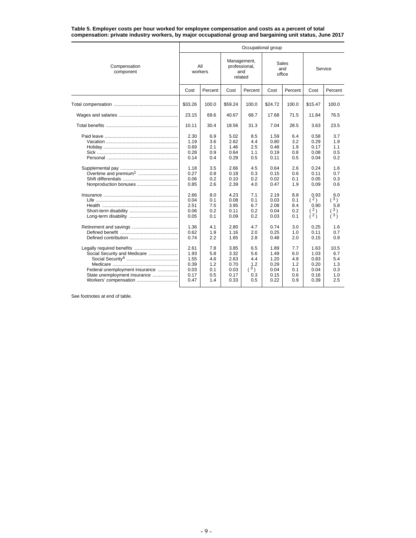**Table 5. Employer costs per hour worked for employee compensation and costs as a percent of total compensation: private industry workers, by major occupational group and bargaining unit status, June 2017**

|                                                                                                                         | Occupational group                                           |                                                      |                                                              |                                                      |                                                              |                                                      |                                                              |                                                                     |  |  |  |
|-------------------------------------------------------------------------------------------------------------------------|--------------------------------------------------------------|------------------------------------------------------|--------------------------------------------------------------|------------------------------------------------------|--------------------------------------------------------------|------------------------------------------------------|--------------------------------------------------------------|---------------------------------------------------------------------|--|--|--|
| Compensation<br>component                                                                                               |                                                              | All<br>workers                                       | Management,                                                  | professional,<br>and<br>related                      |                                                              | Sales<br>and<br>office                               | Service                                                      |                                                                     |  |  |  |
|                                                                                                                         | Cost                                                         | Percent                                              | Cost                                                         | Percent                                              | Cost                                                         | Percent                                              | Cost                                                         | Percent                                                             |  |  |  |
|                                                                                                                         | \$33.26                                                      | 100.0                                                | \$59.24                                                      | 100.0                                                | \$24.72                                                      | 100.0                                                | \$15.47                                                      | 100.0                                                               |  |  |  |
|                                                                                                                         | 23.15                                                        | 69.6                                                 | 40.67                                                        | 68.7                                                 | 17.68                                                        | 71.5                                                 | 11.84                                                        | 76.5                                                                |  |  |  |
|                                                                                                                         | 10.11                                                        | 30.4                                                 | 18.56                                                        | 31.3                                                 | 7.04                                                         | 28.5                                                 | 3.63                                                         | 23.5                                                                |  |  |  |
| Overtime and premium <sup>1</sup>                                                                                       | 2.30<br>1.19<br>0.69<br>0.28<br>0.14<br>1.18<br>0.27<br>0.06 | 6.9<br>3.6<br>2.1<br>0.9<br>0.4<br>3.5<br>0.8<br>0.2 | 5.02<br>2.62<br>1.46<br>0.64<br>0.29<br>2.66<br>0.18<br>0.10 | 8.5<br>4.4<br>2.5<br>1.1<br>0.5<br>4.5<br>0.3<br>0.2 | 1.59<br>0.80<br>0.48<br>0.19<br>0.11<br>0.64<br>0.15<br>0.02 | 6.4<br>3.2<br>1.9<br>0.8<br>0.5<br>2.6<br>0.6<br>0.1 | 0.58<br>0.29<br>0.17<br>0.08<br>0.04<br>0.24<br>0.11<br>0.05 | 3.7<br>1.9<br>1.1<br>0.5<br>0.2<br>1.6<br>0.7<br>0.3                |  |  |  |
| Nonproduction bonuses                                                                                                   | 0.85                                                         | 2.6                                                  | 2.39                                                         | 4.0                                                  | 0.47                                                         | 1.9                                                  | 0.09                                                         | 0.6                                                                 |  |  |  |
|                                                                                                                         | 2.66<br>0.04<br>2.51<br>0.06<br>0.05                         | 8.0<br>0.1<br>7.5<br>0.2<br>0.1                      | 4.23<br>0.08<br>3.95<br>0.11<br>0.09                         | 7.1<br>0.1<br>6.7<br>0.2<br>0.2                      | 2.19<br>0.03<br>2.08<br>0.04<br>0.03                         | 8.8<br>0.1<br>8.4<br>0.2<br>0.1                      | 0.93<br>$^2)$<br>0.90<br>(2)<br>$\lambda^2$                  | 6.0<br>3 <sub>1</sub><br>5.8<br>3)<br>$\frac{1}{4}$ 3 $\frac{1}{2}$ |  |  |  |
|                                                                                                                         | 1.36<br>0.62<br>0.74                                         | 4.1<br>1.9<br>2.2                                    | 2.80<br>1.16<br>1.65                                         | 4.7<br>2.0<br>2.8                                    | 0.74<br>0.25<br>0.48                                         | 3.0<br>1.0<br>2.0                                    | 0.25<br>0.11<br>0.15                                         | 1.6<br>0.7<br>0.9                                                   |  |  |  |
| Social Security and Medicare<br>Federal unemployment insurance<br>State unemployment insurance<br>Workers' compensation | 2.61<br>1.93<br>1.55<br>0.39<br>0.03<br>0.17<br>0.47         | 7.8<br>5.8<br>4.6<br>1.2<br>0.1<br>0.5<br>1.4        | 3.85<br>3.32<br>2.63<br>0.70<br>0.03<br>0.17<br>0.33         | 6.5<br>5.6<br>4.4<br>1.2<br>(3)<br>0.3<br>0.5        | 1.89<br>1.49<br>1.20<br>0.29<br>0.04<br>0.15<br>0.22         | 7.7<br>6.0<br>4.8<br>1.2<br>0.1<br>0.6<br>0.9        | 1.63<br>1.03<br>0.83<br>0.20<br>0.04<br>0.16<br>0.39         | 10.5<br>6.7<br>5.4<br>1.3<br>0.3<br>1.0<br>2.5                      |  |  |  |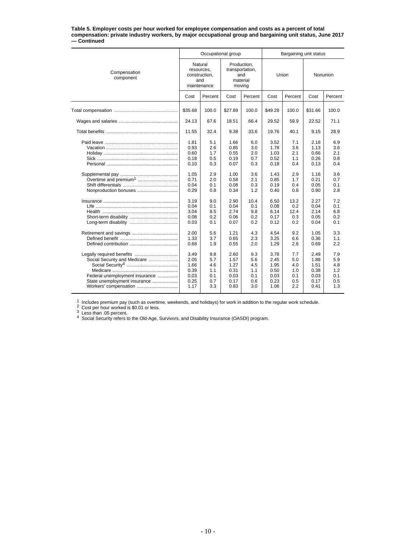#### **Table 5. Employer costs per hour worked for employee compensation and costs as a percent of total compensation: private industry workers, by major occupational group and bargaining unit status, June 2017 — Continued**

|                                                                                                                                                      |                                                              | Occupational group                            |                                                      |                                               | Bargaining unit status                               |                                               |                                                      |                                               |  |
|------------------------------------------------------------------------------------------------------------------------------------------------------|--------------------------------------------------------------|-----------------------------------------------|------------------------------------------------------|-----------------------------------------------|------------------------------------------------------|-----------------------------------------------|------------------------------------------------------|-----------------------------------------------|--|
| Compensation<br>component                                                                                                                            | Natural<br>resources,<br>construction,<br>and<br>maintenance |                                               | Production,<br>transportation,<br>moving             | and<br>material                               |                                                      | Union                                         | Nonunion                                             |                                               |  |
|                                                                                                                                                      | Cost                                                         | Percent                                       | Cost                                                 | Percent                                       | Cost                                                 | Percent                                       | Cost                                                 | Percent                                       |  |
|                                                                                                                                                      | \$35.68                                                      | 100.0                                         | \$27.89                                              | 100.0                                         | \$49.28                                              | 100.0                                         | \$31.66                                              | 100.0                                         |  |
|                                                                                                                                                      | 24.13                                                        | 67.6                                          | 18.51                                                | 66.4                                          | 29.52                                                | 59.9                                          | 22.52                                                | 71.1                                          |  |
|                                                                                                                                                      | 11.55                                                        | 32.4                                          | 9.38                                                 | 33.6                                          | 19.76                                                | 40.1                                          | 9.15                                                 | 28.9                                          |  |
|                                                                                                                                                      | 1.81<br>0.93<br>0.60<br>0.18<br>0.10<br>1.05<br>0.71         | 5.1<br>2.6<br>1.7<br>0.5<br>0.3<br>2.9<br>2.0 | 1.66<br>0.85<br>0.55<br>0.19<br>0.07<br>1.00<br>0.58 | 6.0<br>3.0<br>2.0<br>0.7<br>0.3<br>3.6<br>2.1 | 3.52<br>1.78<br>1.03<br>0.52<br>0.18<br>1.43<br>0.85 | 7.1<br>3.6<br>2.1<br>1.1<br>0.4<br>2.9<br>1.7 | 2.18<br>1.13<br>0.66<br>0.26<br>0.13<br>1.16<br>0.21 | 6.9<br>3.6<br>2.1<br>0.8<br>0.4<br>3.6<br>0.7 |  |
|                                                                                                                                                      | 0.04<br>0.29                                                 | 0.1<br>0.8                                    | 0.08<br>0.34                                         | 0.3<br>1.2                                    | 0.19<br>0.40                                         | 0.4<br>0.8                                    | 0.05<br>0.90                                         | 0.1<br>2.8                                    |  |
|                                                                                                                                                      | 3.19<br>0.04<br>3.04<br>0.08<br>0.03                         | 9.0<br>0.1<br>8.5<br>0.2<br>0.1               | 2.90<br>0.04<br>2.74<br>0.06<br>0.07                 | 10.4<br>0.1<br>9.8<br>0.2<br>0.2              | 6.50<br>0.08<br>6.14<br>0.17<br>0.12                 | 13.2<br>0.2<br>12.4<br>0.3<br>0.2             | 2.27<br>0.04<br>2.14<br>0.05<br>0.04                 | 7.2<br>0.1<br>6.8<br>0.2<br>0.1               |  |
|                                                                                                                                                      | 2.00<br>1.33<br>0.68                                         | 5.6<br>3.7<br>1.9                             | 1.21<br>0.65<br>0.55                                 | 4.3<br>2.3<br>2.0                             | 4.54<br>3.25<br>1.29                                 | 9.2<br>6.6<br>2.6                             | 1.05<br>0.36<br>0.69                                 | 3.3<br>1.1<br>2.2                             |  |
| Legally required benefits<br>Social Security and Medicare<br>Federal unemployment insurance<br>State unemployment insurance<br>Workers' compensation | 3.49<br>2.05<br>1.66<br>0.39<br>0.03<br>0.25<br>1.17         | 9.8<br>5.7<br>4.6<br>1.1<br>0.1<br>0.7<br>3.3 | 2.60<br>1.57<br>1.27<br>0.31<br>0.03<br>0.17<br>0.83 | 9.3<br>5.6<br>4.5<br>1.1<br>0.1<br>0.6<br>3.0 | 3.78<br>2.45<br>1.95<br>0.50<br>0.03<br>0.23<br>1.06 | 7.7<br>5.0<br>4.0<br>1.0<br>0.1<br>0.5<br>2.2 | 2.49<br>1.88<br>1.51<br>0.38<br>0.03<br>0.17<br>0.41 | 7.9<br>5.9<br>4.8<br>1.2<br>0.1<br>0.5<br>1.3 |  |

1 Includes premium pay (such as overtime, weekends, and holidays) for work in addition to the regular work schedule.<br>
2 Cost per hour worked is \$0.01 or less.<br>
3 Less than .05 percent.<br>
4 Social Security refers to the Old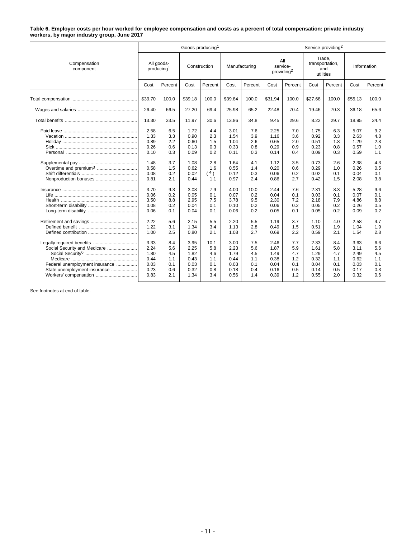#### **Table 6. Employer costs per hour worked for employee compensation and costs as a percent of total compensation: private industry workers, by major industry group, June 2017**

|                                                                                                                         |                                                      |                                               | Goods-producing <sup>1</sup>                         |                                                |                                                      |                                               | Service-providing <sup>2</sup>                       |                                               |                                                      |                                               |                                                      |                                               |
|-------------------------------------------------------------------------------------------------------------------------|------------------------------------------------------|-----------------------------------------------|------------------------------------------------------|------------------------------------------------|------------------------------------------------------|-----------------------------------------------|------------------------------------------------------|-----------------------------------------------|------------------------------------------------------|-----------------------------------------------|------------------------------------------------------|-----------------------------------------------|
| Compensation<br>component                                                                                               | All goods-<br>producing <sup>1</sup>                 |                                               | Construction                                         |                                                | Manufacturing                                        |                                               | All<br>service-<br>providing <sup>2</sup>            |                                               | Trade.<br>transportation,<br>and<br>utilities        |                                               | Information                                          |                                               |
|                                                                                                                         | Cost                                                 | Percent                                       | Cost                                                 | Percent                                        | Cost                                                 | Percent                                       | Cost                                                 | Percent                                       | Cost                                                 | Percent                                       | Cost                                                 | Percent                                       |
|                                                                                                                         | \$39.70                                              | 100.0                                         | \$39.18                                              | 100.0                                          | \$39.84                                              | 100.0                                         | \$31.94                                              | 100.0                                         | \$27.68                                              | 100.0                                         | \$55.13                                              | 100.0                                         |
|                                                                                                                         | 26.40                                                | 66.5                                          | 27.20                                                | 69.4                                           | 25.98                                                | 65.2                                          | 22.48                                                | 70.4                                          | 19.46                                                | 70.3                                          | 36.18                                                | 65.6                                          |
|                                                                                                                         | 13.30                                                | 33.5                                          | 11.97                                                | 30.6                                           | 13.86                                                | 34.8                                          | 9.45                                                 | 29.6                                          | 8.22                                                 | 29.7                                          | 18.95                                                | 34.4                                          |
|                                                                                                                         | 2.58<br>1.33<br>0.89<br>0.26<br>0.10<br>1.48<br>0.58 | 6.5<br>3.3<br>2.2<br>0.6<br>0.3<br>3.7<br>1.5 | 1.72<br>0.90<br>0.60<br>0.13<br>0.09<br>1.08<br>0.62 | 4.4<br>2.3<br>1.5<br>0.3<br>0.2<br>2.8<br>1.6  | 3.01<br>1.54<br>1.04<br>0.33<br>0.11<br>1.64<br>0.55 | 7.6<br>3.9<br>2.6<br>0.8<br>0.3<br>4.1<br>1.4 | 2.25<br>1.16<br>0.65<br>0.29<br>0.14<br>1.12<br>0.20 | 7.0<br>3.6<br>2.0<br>0.9<br>0.4<br>3.5<br>0.6 | 1.75<br>0.92<br>0.51<br>0.23<br>0.09<br>0.73<br>0.29 | 6.3<br>3.3<br>1.8<br>0.8<br>0.3<br>2.6<br>1.0 | 5.07<br>2.63<br>1.29<br>0.57<br>0.59<br>2.38<br>0.26 | 9.2<br>4.8<br>2.3<br>1.0<br>1.1<br>4.3<br>0.5 |
| Nonproduction bonuses                                                                                                   | 0.08<br>0.81                                         | 0.2<br>2.1                                    | 0.02<br>0.44                                         | (4)<br>1.1                                     | 0.12<br>0.97                                         | 0.3<br>2.4                                    | 0.06<br>0.86                                         | 0.2<br>2.7                                    | 0.02<br>0.42                                         | 0.1<br>1.5                                    | 0.04<br>2.08                                         | 0.1<br>3.8                                    |
|                                                                                                                         | 3.70<br>0.06<br>3.50<br>0.08<br>0.06                 | 9.3<br>0.2<br>8.8<br>0.2<br>0.1               | 3.08<br>0.05<br>2.95<br>0.04<br>0.04                 | 7.9<br>0.1<br>7.5<br>0.1<br>0.1                | 4.00<br>0.07<br>3.78<br>0.10<br>0.06                 | 10.0<br>0.2<br>9.5<br>0.2<br>0.2              | 2.44<br>0.04<br>2.30<br>0.06<br>0.05                 | 7.6<br>0.1<br>7.2<br>0.2<br>0.1               | 2.31<br>0.03<br>2.18<br>0.05<br>0.05                 | 8.3<br>0.1<br>7.9<br>0.2<br>0.2               | 5.28<br>0.07<br>4.86<br>0.26<br>0.09                 | 9.6<br>0.1<br>8.8<br>0.5<br>0.2               |
|                                                                                                                         | 2.22<br>1.22<br>1.00                                 | 5.6<br>3.1<br>2.5                             | 2.15<br>1.34<br>0.80                                 | 5.5<br>3.4<br>2.1                              | 2.20<br>1.13<br>1.08                                 | 5.5<br>2.8<br>2.7                             | 1.19<br>0.49<br>0.69                                 | 3.7<br>1.5<br>2.2                             | 1.10<br>0.51<br>0.59                                 | 4.0<br>1.9<br>2.1                             | 2.58<br>1.04<br>1.54                                 | 4.7<br>1.9<br>2.8                             |
| Social Security and Medicare<br>Federal unemployment insurance<br>State unemployment insurance<br>Workers' compensation | 3.33<br>2.24<br>1.80<br>0.44<br>0.03<br>0.23<br>0.83 | 8.4<br>5.6<br>4.5<br>1.1<br>0.1<br>0.6<br>2.1 | 3.95<br>2.25<br>1.82<br>0.43<br>0.03<br>0.32<br>1.34 | 10.1<br>5.8<br>4.6<br>1.1<br>0.1<br>0.8<br>3.4 | 3.00<br>2.23<br>1.79<br>0.44<br>0.03<br>0.18<br>0.56 | 7.5<br>5.6<br>4.5<br>1.1<br>0.1<br>0.4<br>1.4 | 2.46<br>1.87<br>1.49<br>0.38<br>0.04<br>0.16<br>0.39 | 7.7<br>5.9<br>4.7<br>1.2<br>0.1<br>0.5<br>1.2 | 2.33<br>1.61<br>1.29<br>0.32<br>0.04<br>0.14<br>0.55 | 8.4<br>5.8<br>4.7<br>1.1<br>0.1<br>0.5<br>2.0 | 3.63<br>3.11<br>2.49<br>0.62<br>0.03<br>0.17<br>0.32 | 6.6<br>5.6<br>4.5<br>1.1<br>0.1<br>0.3<br>0.6 |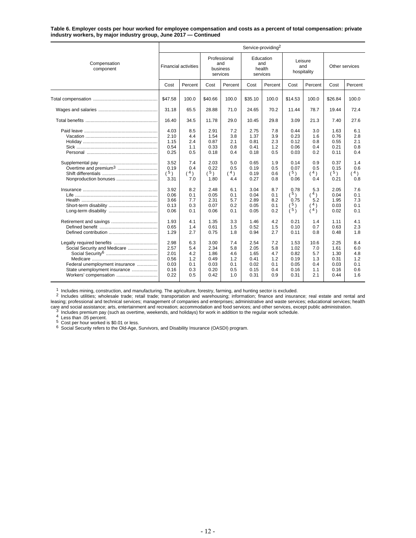#### **Table 6. Employer costs per hour worked for employee compensation and costs as a percent of total compensation: private industry workers, by major industry group, June 2017 — Continued**

|                                                                                                                         | Service-providing <sup>2</sup>                       |                                               |                                                      |                                               |                                                      |                                               |                                                      |                                                                                       |                                                      |                                               |  |  |
|-------------------------------------------------------------------------------------------------------------------------|------------------------------------------------------|-----------------------------------------------|------------------------------------------------------|-----------------------------------------------|------------------------------------------------------|-----------------------------------------------|------------------------------------------------------|---------------------------------------------------------------------------------------|------------------------------------------------------|-----------------------------------------------|--|--|
| Compensation<br>component                                                                                               | <b>Financial activities</b>                          |                                               | Professional<br>and<br>business<br>services          |                                               | Education<br>and<br>health<br>services               |                                               | Leisure<br>and<br>hospitality                        |                                                                                       | Other services                                       |                                               |  |  |
|                                                                                                                         | Cost                                                 | Percent                                       | Cost                                                 | Percent                                       | Cost                                                 | Percent                                       | Cost                                                 | Percent                                                                               | Cost                                                 | Percent                                       |  |  |
|                                                                                                                         | \$47.58                                              | 100.0                                         | \$40.66                                              | 100.0                                         | \$35.10                                              | 100.0                                         | \$14.53                                              | 100.0                                                                                 | \$26.84                                              | 100.0                                         |  |  |
|                                                                                                                         | 31.18                                                | 65.5                                          | 28.88                                                | 71.0                                          | 24.65                                                | 70.2                                          | 11.44                                                | 78.7                                                                                  | 19.44                                                | 72.4                                          |  |  |
|                                                                                                                         | 16.40                                                | 34.5                                          | 11.78                                                | 29.0                                          | 10.45                                                | 29.8                                          | 3.09                                                 | 21.3                                                                                  | 7.40                                                 | 27.6                                          |  |  |
|                                                                                                                         | 4.03<br>2.10<br>1.15<br>0.54<br>0.25                 | 8.5<br>4.4<br>2.4<br>1.1<br>0.5               | 2.91<br>1.54<br>0.87<br>0.33<br>0.18                 | 7.2<br>3.8<br>2.1<br>0.8<br>0.4               | 2.75<br>1.37<br>0.81<br>0.41<br>0.18                 | 7.8<br>3.9<br>2.3<br>1.2<br>0.5               | 0.44<br>0.23<br>0.12<br>0.06<br>0.03                 | 3.0<br>1.6<br>0.8<br>0.4<br>0.2                                                       | 1.63<br>0.76<br>0.55<br>0.21<br>0.11                 | 6.1<br>2.8<br>2.1<br>0.8<br>0.4               |  |  |
| Nonproduction bonuses                                                                                                   | 3.52<br>0.19<br>(5)<br>3.31                          | 7.4<br>0.4<br>(4)<br>7.0                      | 2.03<br>0.22<br>(5)<br>1.80                          | 5.0<br>0.5<br>(4)<br>4.4                      | 0.65<br>0.19<br>0.19<br>0.27                         | 1.9<br>0.5<br>0.6<br>0.8                      | 0.14<br>0.07<br>(5)<br>0.06                          | 0.9<br>0.5<br>$^4)$<br>0.4                                                            | 0.37<br>0.15<br>(5)<br>0.21                          | 1.4<br>0.6<br>(4)<br>0.8                      |  |  |
|                                                                                                                         | 3.92<br>0.06<br>3.66<br>0.13<br>0.06                 | 8.2<br>0.1<br>7.7<br>0.3<br>0.1               | 2.48<br>0.05<br>2.31<br>0.07<br>0.06                 | 6.1<br>0.1<br>5.7<br>0.2<br>0.1               | 3.04<br>0.04<br>2.89<br>0.05<br>0.05                 | 8.7<br>0.1<br>8.2<br>0.1<br>0.2               | 0.78<br>$(^{5})$<br>0.75<br>$\binom{5}{5}$           | 5.3<br>$(^{4})$<br>5.2<br>$\left( \begin{array}{c} 4 \\ 1 \end{array} \right)$<br>(4) | 2.05<br>0.04<br>1.95<br>0.03<br>0.02                 | 7.6<br>0.1<br>7.3<br>0.1<br>0.1               |  |  |
|                                                                                                                         | 1.93<br>0.65<br>1.29                                 | 4.1<br>1.4<br>2.7                             | 1.35<br>0.61<br>0.75                                 | 3.3<br>1.5<br>1.8                             | 1.46<br>0.52<br>0.94                                 | 4.2<br>1.5<br>2.7                             | 0.21<br>0.10<br>0.11                                 | 1.4<br>0.7<br>0.8                                                                     | 1.11<br>0.63<br>0.48                                 | 4.1<br>2.3<br>1.8                             |  |  |
| Social Security and Medicare<br>Federal unemployment insurance<br>State unemployment insurance<br>Workers' compensation | 2.98<br>2.57<br>2.01<br>0.56<br>0.03<br>0.16<br>0.22 | 6.3<br>5.4<br>4.2<br>1.2<br>0.1<br>0.3<br>0.5 | 3.00<br>2.34<br>1.86<br>0.49<br>0.03<br>0.20<br>0.42 | 7.4<br>5.8<br>4.6<br>1.2<br>0.1<br>0.5<br>1.0 | 2.54<br>2.05<br>1.65<br>0.41<br>0.02<br>0.15<br>0.31 | 7.2<br>5.8<br>4.7<br>1.2<br>0.1<br>0.4<br>0.9 | 1.53<br>1.02<br>0.82<br>0.19<br>0.05<br>0.16<br>0.31 | 10.6<br>7.0<br>5.7<br>1.3<br>0.4<br>1.1<br>2.1                                        | 2.25<br>1.61<br>1.30<br>0.31<br>0.03<br>0.16<br>0.44 | 8.4<br>6.0<br>4.8<br>1.2<br>0.1<br>0.6<br>1.6 |  |  |

<sup>1</sup> Includes mining, construction, and manufacturing. The agriculture, forestry, farming, and hunting sector is excluded.<br><sup>2</sup> Includes utilities; wholesale trade; retail trade; transportation and warehousing; information; Example, processional and technology, international distribution of commodation and food services; and other services, except public administration.<br>
The same social assistance; atts, entertainment and recreation; accommod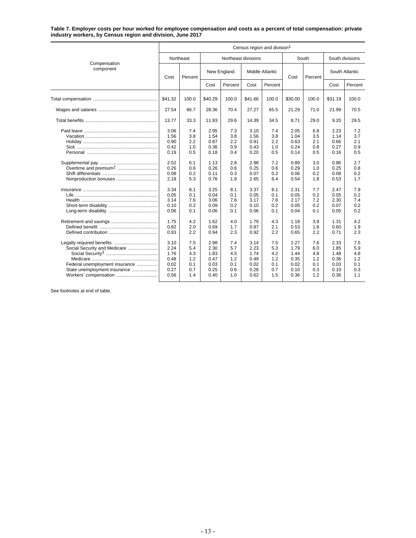#### **Table 7. Employer costs per hour worked for employee compensation and costs as a percent of total compensation: private industry workers, by Census region and division, June 2017**

|                                                                                                | Census region and division <sup>1</sup>                              |                                                             |                                                                      |                                                             |                                                                      |                                                             |                                                                      |                                                             |                                                                      |                                                             |  |  |  |
|------------------------------------------------------------------------------------------------|----------------------------------------------------------------------|-------------------------------------------------------------|----------------------------------------------------------------------|-------------------------------------------------------------|----------------------------------------------------------------------|-------------------------------------------------------------|----------------------------------------------------------------------|-------------------------------------------------------------|----------------------------------------------------------------------|-------------------------------------------------------------|--|--|--|
|                                                                                                |                                                                      | Northeast                                                   |                                                                      | Northeast divisions                                         |                                                                      |                                                             |                                                                      | South                                                       | South divisions                                                      |                                                             |  |  |  |
| Compensation<br>component                                                                      | Cost                                                                 | Percent                                                     |                                                                      | New England                                                 | <b>Middle Atlantic</b>                                               |                                                             | Cost                                                                 | Percent                                                     | South Atlantic                                                       |                                                             |  |  |  |
|                                                                                                |                                                                      |                                                             | Cost                                                                 | Percent                                                     | Cost                                                                 | Percent                                                     |                                                                      |                                                             | Cost                                                                 | Percent                                                     |  |  |  |
|                                                                                                | \$41.32                                                              | 100.0                                                       | \$40.29                                                              | 100.0                                                       | \$41.66                                                              | 100.0                                                       | \$30.00                                                              | 100.0                                                       | \$31.19                                                              | 100.0                                                       |  |  |  |
|                                                                                                | 27.54                                                                | 66.7                                                        | 28.36                                                                | 70.4                                                        | 27.27                                                                | 65.5                                                        | 21.29                                                                | 71.0                                                        | 21.99                                                                | 70.5                                                        |  |  |  |
|                                                                                                | 13.77                                                                | 33.3                                                        | 11.93                                                                | 29.6                                                        | 14.39                                                                | 34.5                                                        | 8.71                                                                 | 29.0                                                        | 9.20                                                                 | 29.5                                                        |  |  |  |
| Nonproduction bonuses                                                                          | 3.06<br>1.56<br>0.90<br>0.42<br>0.19<br>2.52<br>0.26<br>0.08<br>2.18 | 7.4<br>3.8<br>2.2<br>1.0<br>0.5<br>6.1<br>0.6<br>0.2<br>5.3 | 2.95<br>1.54<br>0.87<br>0.36<br>0.18<br>1.13<br>0.26<br>0.11<br>0.76 | 7.3<br>3.8<br>2.2<br>0.9<br>0.4<br>2.8<br>0.6<br>0.3<br>1.9 | 3.10<br>1.56<br>0.91<br>0.43<br>0.20<br>2.98<br>0.25<br>0.07<br>2.65 | 7.4<br>3.8<br>2.2<br>1.0<br>0.5<br>7.2<br>0.6<br>0.2<br>6.4 | 2.05<br>1.04<br>0.63<br>0.24<br>0.14<br>0.89<br>0.29<br>0.06<br>0.54 | 6.8<br>3.5<br>2.1<br>0.8<br>0.5<br>3.0<br>1.0<br>0.2<br>1.8 | 2.23<br>1.14<br>0.66<br>0.27<br>0.16<br>0.86<br>0.25<br>0.08<br>0.53 | 7.2<br>3.7<br>2.1<br>0.9<br>0.5<br>2.7<br>0.8<br>0.2<br>1.7 |  |  |  |
|                                                                                                | 3.34<br>0.05<br>3.14<br>0.10<br>0.06                                 | 8.1<br>0.1<br>7.6<br>0.2<br>0.1                             | 3.25<br>0.04<br>3.06<br>0.09<br>0.06                                 | 8.1<br>0.1<br>7.6<br>0.2<br>0.1                             | 3.37<br>0.05<br>3.17<br>0.10<br>0.06                                 | 8.1<br>0.1<br>7.6<br>0.2<br>0.1                             | 2.31<br>0.05<br>2.17<br>0.05<br>0.04                                 | 7.7<br>0.2<br>7.2<br>0.2<br>0.1                             | 2.47<br>0.05<br>2.30<br>0.07<br>0.05                                 | 7.9<br>0.2<br>7.4<br>0.2<br>0.2                             |  |  |  |
|                                                                                                | 1.75<br>0.82<br>0.93                                                 | 4.2<br>2.0<br>2.2                                           | 1.62<br>0.69<br>0.94                                                 | 4.0<br>1.7<br>2.3                                           | 1.79<br>0.87<br>0.92                                                 | 4.3<br>2.1<br>2.2                                           | 1.18<br>0.53<br>0.65                                                 | 3.9<br>1.8<br>2.2                                           | 1.31<br>0.60<br>0.71                                                 | 4.2<br>1.9<br>2.3                                           |  |  |  |
| Social Security and Medicare<br>Federal unemployment insurance<br>State unemployment insurance | 3.10<br>2.24<br>1.76<br>0.48<br>0.02<br>0.27<br>0.56                 | 7.5<br>5.4<br>4.3<br>1.2<br>0.1<br>0.7<br>1.4               | 2.98<br>2.30<br>1.83<br>0.47<br>0.03<br>0.25<br>0.40                 | 7.4<br>5.7<br>4.5<br>1.2<br>0.1<br>0.6<br>1.0               | 3.14<br>2.23<br>1.74<br>0.49<br>0.02<br>0.28<br>0.62                 | 7.5<br>5.3<br>4.2<br>1.2<br>0.1<br>0.7<br>1.5               | 2.27<br>1.79<br>1.44<br>0.35<br>0.02<br>0.10<br>0.36                 | 7.6<br>6.0<br>4.8<br>1.2<br>0.1<br>0.3<br>1.2               | 2.33<br>1.85<br>1.48<br>0.36<br>0.03<br>0.10<br>0.36                 | 7.5<br>5.9<br>4.8<br>1.2<br>0.1<br>0.3<br>1.1               |  |  |  |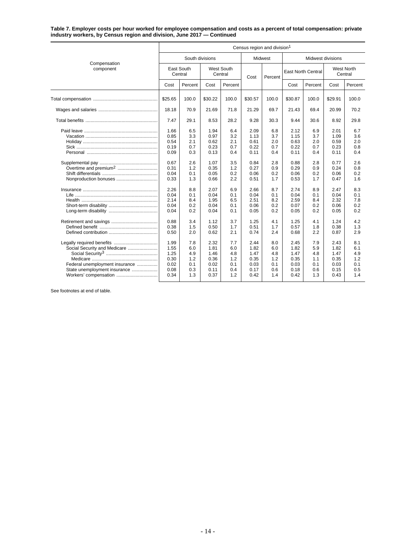#### **Table 7. Employer costs per hour worked for employee compensation and costs as a percent of total compensation: private industry workers, by Census region and division, June 2017 — Continued**

|                                                                                                                         | Census region and division <sup>1</sup>                                                                      |                                                                                                |                                                                                                              |                                                                                                |                                                                                                              |                                                                                                |                                                                                                              |                                                                                                |                                                                                                              |                                                                                                |  |  |  |
|-------------------------------------------------------------------------------------------------------------------------|--------------------------------------------------------------------------------------------------------------|------------------------------------------------------------------------------------------------|--------------------------------------------------------------------------------------------------------------|------------------------------------------------------------------------------------------------|--------------------------------------------------------------------------------------------------------------|------------------------------------------------------------------------------------------------|--------------------------------------------------------------------------------------------------------------|------------------------------------------------------------------------------------------------|--------------------------------------------------------------------------------------------------------------|------------------------------------------------------------------------------------------------|--|--|--|
|                                                                                                                         |                                                                                                              | South divisions                                                                                |                                                                                                              |                                                                                                | Midwest                                                                                                      |                                                                                                |                                                                                                              | Midwest divisions                                                                              |                                                                                                              |                                                                                                |  |  |  |
| Compensation<br>component                                                                                               | East South<br>Central                                                                                        |                                                                                                | West South<br>Central                                                                                        |                                                                                                | Cost                                                                                                         | Percent                                                                                        |                                                                                                              | <b>East North Central</b>                                                                      |                                                                                                              | <b>West North</b><br>Central                                                                   |  |  |  |
|                                                                                                                         | Cost                                                                                                         | Percent                                                                                        | Cost                                                                                                         | Percent                                                                                        |                                                                                                              |                                                                                                | Cost                                                                                                         | Percent                                                                                        | Cost                                                                                                         | Percent                                                                                        |  |  |  |
|                                                                                                                         | \$25.65                                                                                                      | 100.0                                                                                          | \$30.22                                                                                                      | 100.0                                                                                          | \$30.57                                                                                                      | 100.0                                                                                          | \$30.87                                                                                                      | 100.0                                                                                          | \$29.91                                                                                                      | 100.0                                                                                          |  |  |  |
|                                                                                                                         | 18.18                                                                                                        | 70.9                                                                                           | 21.69                                                                                                        | 71.8                                                                                           | 21.29                                                                                                        | 69.7                                                                                           | 21.43                                                                                                        | 69.4                                                                                           | 20.99                                                                                                        | 70.2                                                                                           |  |  |  |
|                                                                                                                         | 7.47                                                                                                         | 29.1                                                                                           | 8.53                                                                                                         | 28.2                                                                                           | 9.28                                                                                                         | 30.3                                                                                           | 9.44                                                                                                         | 30.6                                                                                           | 8.92                                                                                                         | 29.8                                                                                           |  |  |  |
|                                                                                                                         | 1.66<br>0.85<br>0.54<br>0.19<br>0.09<br>0.67<br>0.31<br>0.04<br>0.33<br>2.26<br>0.04<br>2.14<br>0.04<br>0.04 | 6.5<br>3.3<br>2.1<br>0.7<br>0.3<br>2.6<br>1.2<br>0.1<br>1.3<br>8.8<br>0.1<br>8.4<br>0.2<br>0.2 | 1.94<br>0.97<br>0.62<br>0.23<br>0.13<br>1.07<br>0.35<br>0.05<br>0.66<br>2.07<br>0.04<br>1.95<br>0.04<br>0.04 | 6.4<br>3.2<br>2.1<br>0.7<br>0.4<br>3.5<br>1.2<br>0.2<br>2.2<br>6.9<br>0.1<br>6.5<br>0.1<br>0.1 | 2.09<br>1.13<br>0.61<br>0.22<br>0.11<br>0.84<br>0.27<br>0.06<br>0.51<br>2.66<br>0.04<br>2.51<br>0.06<br>0.05 | 6.8<br>3.7<br>2.0<br>0.7<br>0.4<br>2.8<br>0.9<br>0.2<br>1.7<br>8.7<br>0.1<br>8.2<br>0.2<br>0.2 | 2.12<br>1.15<br>0.63<br>0.22<br>0.11<br>0.88<br>0.29<br>0.06<br>0.53<br>2.74<br>0.04<br>2.59<br>0.07<br>0.05 | 6.9<br>3.7<br>2.0<br>0.7<br>0.4<br>2.8<br>0.9<br>0.2<br>1.7<br>8.9<br>0.1<br>8.4<br>0.2<br>0.2 | 2.01<br>1.09<br>0.59<br>0.23<br>0.11<br>0.77<br>0.24<br>0.06<br>0.47<br>2.47<br>0.04<br>2.32<br>0.06<br>0.05 | 6.7<br>3.6<br>2.0<br>0.8<br>0.4<br>2.6<br>0.8<br>0.2<br>1.6<br>8.3<br>0.1<br>7.8<br>0.2<br>0.2 |  |  |  |
| Social Security and Medicare<br>Federal unemployment insurance<br>State unemployment insurance<br>Workers' compensation | 0.88<br>0.38<br>0.50<br>1.99<br>1.55<br>1.25<br>0.30<br>0.02<br>0.08<br>0.34                                 | 3.4<br>1.5<br>2.0<br>7.8<br>6.0<br>4.9<br>1.2<br>0.1<br>0.3<br>1.3                             | 1.12<br>0.50<br>0.62<br>2.32<br>1.81<br>1.46<br>0.36<br>0.02<br>0.11<br>0.37                                 | 3.7<br>1.7<br>2.1<br>7.7<br>6.0<br>4.8<br>1.2<br>0.1<br>0.4<br>1.2                             | 1.25<br>0.51<br>0.74<br>2.44<br>1.82<br>1.47<br>0.35<br>0.03<br>0.17<br>0.42                                 | 4.1<br>1.7<br>2.4<br>8.0<br>6.0<br>4.8<br>1.2<br>0.1<br>0.6<br>1.4                             | 1.25<br>0.57<br>0.68<br>2.45<br>1.82<br>1.47<br>0.35<br>0.03<br>0.18<br>0.42                                 | 4.1<br>1.8<br>2.2<br>7.9<br>5.9<br>4.8<br>1.1<br>0.1<br>0.6<br>1.3                             | 1.24<br>0.38<br>0.87<br>2.43<br>1.82<br>1.47<br>0.35<br>0.03<br>0.15<br>0.43                                 | 4.2<br>1.3<br>2.9<br>8.1<br>6.1<br>4.9<br>1.2<br>0.1<br>0.5<br>1.4                             |  |  |  |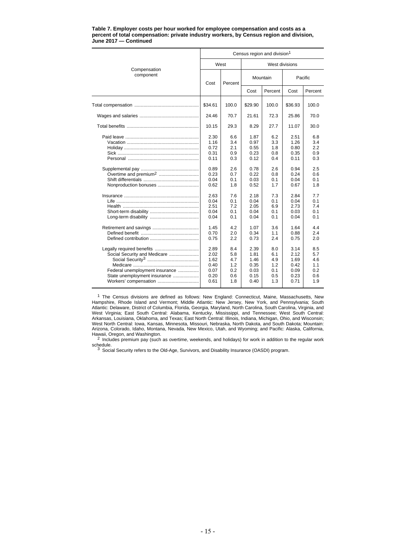|                                                                                                                         | Census region and division <sup>1</sup>                      |                                                             |                                                              |                                                             |                                                              |                                                      |  |  |  |  |
|-------------------------------------------------------------------------------------------------------------------------|--------------------------------------------------------------|-------------------------------------------------------------|--------------------------------------------------------------|-------------------------------------------------------------|--------------------------------------------------------------|------------------------------------------------------|--|--|--|--|
| Compensation                                                                                                            |                                                              | West                                                        | West divisions                                               |                                                             |                                                              |                                                      |  |  |  |  |
| component                                                                                                               |                                                              | Percent                                                     |                                                              | Mountain                                                    | Pacific                                                      |                                                      |  |  |  |  |
|                                                                                                                         |                                                              |                                                             | Cost                                                         | Percent                                                     | Cost                                                         | Percent                                              |  |  |  |  |
|                                                                                                                         | \$34.61                                                      | 100.0                                                       | \$29.90                                                      | 100.0                                                       | \$36.93                                                      | 100.0                                                |  |  |  |  |
|                                                                                                                         | 24.46                                                        | 70.7                                                        | 21.61                                                        | 72.3                                                        | 25.86                                                        | 70.0                                                 |  |  |  |  |
|                                                                                                                         | 10.15                                                        | 29.3                                                        | 8.29                                                         | 27.7                                                        | 11.07                                                        | 30.0                                                 |  |  |  |  |
| Overtime and premium <sup>2</sup>                                                                                       | 2.30<br>1.16<br>0.72<br>0.31<br>0.11<br>0.89<br>0.23<br>0.04 | 6.6<br>3.4<br>2.1<br>0.9<br>0.3<br>2.6<br>0.7<br>0.1<br>1.8 | 1.87<br>0.97<br>0.55<br>0.23<br>0.12<br>0.78<br>0.22<br>0.03 | 6.2<br>3.3<br>1.8<br>0.8<br>0.4<br>2.6<br>0.8<br>0.1<br>1.7 | 2.51<br>1.26<br>0.80<br>0.35<br>0.11<br>0.94<br>0.24<br>0.04 | 6.8<br>3.4<br>2.2<br>0.9<br>0.3<br>2.5<br>0.6<br>0.1 |  |  |  |  |
|                                                                                                                         | 0.62<br>2.63<br>0.04<br>2.51<br>0.04<br>0.04                 | 7.6<br>0.1<br>7.2<br>0.1<br>0.1                             | 0.52<br>2.18<br>0.04<br>2.05<br>0.04<br>0.04                 | 7.3<br>0.1<br>6.9<br>0.1<br>0.1                             | 0.67<br>2.84<br>0.04<br>2.73<br>0.03<br>0.04                 | 1.8<br>7.7<br>0.1<br>7.4<br>0.1<br>0.1               |  |  |  |  |
|                                                                                                                         | 1.45<br>0.70<br>0.75                                         | 4.2<br>2.0<br>2.2                                           | 1.07<br>0.34<br>0.73                                         | 3.6<br>1.1<br>2.4                                           | 1.64<br>0.88<br>0.75                                         | 4.4<br>2.4<br>2.0                                    |  |  |  |  |
| Social Security and Medicare<br>Federal unemployment insurance<br>State unemployment insurance<br>Workers' compensation | 2.89<br>2.02<br>1.62<br>0.40<br>0.07<br>0.20<br>0.61         | 8.4<br>5.8<br>4.7<br>1.2<br>0.2<br>0.6<br>1.8               | 2.39<br>1.81<br>1.46<br>0.35<br>0.03<br>0.15<br>0.40         | 8.0<br>6.1<br>4.9<br>1.2<br>0.1<br>0.5<br>1.3               | 3.14<br>2.12<br>1.69<br>0.42<br>0.09<br>0.23<br>0.71         | 8.5<br>5.7<br>4.6<br>1.1<br>0.2<br>0.6<br>1.9        |  |  |  |  |

#### **Table 7. Employer costs per hour worked for employee compensation and costs as a percent of total compensation: private industry workers, by Census region and division, June 2017 — Continued**

<sup>1</sup> The Census divisions are defined as follows: New England: Connecticut, Maine, Massachusetts, New Hampshire, Rhode Island and Vermont; Middle Atlantic: New Jersey, New York, and Pennsylvania; South Atlantic: Delaware, District of Columbia, Florida, Georgia, Maryland, North Carolina, South Carolina, Virginia, and West Virginia; East South Central: Alabama, Kentucky, Mississippi, and Tennessee; West South Central: Arkansas, Louisiana, Oklahoma, and Texas; East North Central: Illinois, Indiana, Michigan, Ohio, and Wisconsin; West North Central: Iowa, Kansas, Minnesota, Missouri, Nebraska, North Dakota, and South Dakota; Mountain: Arizona, Colorado, Idaho, Montana, Nevada, New Mexico, Utah, and Wyoming; and Pacific: Alaska, California,

Hawaii, Oregon, and Washington.<br>
<sup>2</sup> Includes premium pay (such as overtime, weekends, and holidays) for work in addition to the regular work<br>
schedule.

3 Social Security refers to the Old-Age, Survivors, and Disability Insurance (OASDI) program.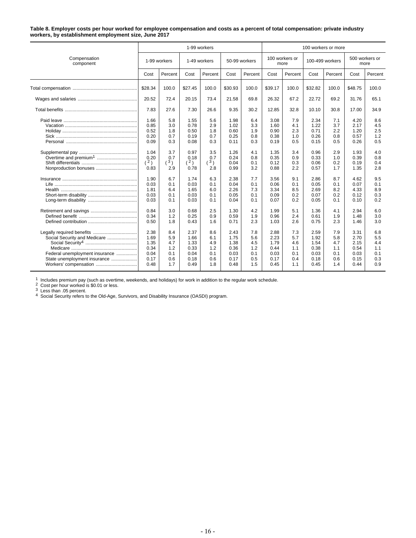#### **Table 8. Employer costs per hour worked for employee compensation and costs as a percent of total compensation: private industry workers, by establishment employment size, June 2017**

|                                                                                                                         |                                                      |                                               |                                                      | 1-99 workers                                  |                                                      |                                               | 100 workers or more                                  |                                               |                                                      |                                               |                                                      |                                               |
|-------------------------------------------------------------------------------------------------------------------------|------------------------------------------------------|-----------------------------------------------|------------------------------------------------------|-----------------------------------------------|------------------------------------------------------|-----------------------------------------------|------------------------------------------------------|-----------------------------------------------|------------------------------------------------------|-----------------------------------------------|------------------------------------------------------|-----------------------------------------------|
| Compensation<br>component                                                                                               |                                                      | 1-99 workers                                  |                                                      | 1-49 workers                                  |                                                      | 50-99 workers                                 |                                                      | 100 workers or<br>more                        |                                                      | 100-499 workers                               |                                                      | 500 workers or<br>more                        |
|                                                                                                                         | Cost                                                 | Percent                                       | Cost                                                 | Percent                                       | Cost                                                 | Percent                                       | Cost                                                 | Percent                                       | Cost                                                 | Percent                                       | Cost                                                 | Percent                                       |
|                                                                                                                         | \$28.34                                              | 100.0                                         | \$27.45                                              | 100.0                                         | \$30.93                                              | 100.0                                         | \$39.17                                              | 100.0                                         | \$32.82                                              | 100.0                                         | \$48.75                                              | 100.0                                         |
|                                                                                                                         | 20.52                                                | 72.4                                          | 20.15                                                | 73.4                                          | 21.58                                                | 69.8                                          | 26.32                                                | 67.2                                          | 22.72                                                | 69.2                                          | 31.76                                                | 65.1                                          |
|                                                                                                                         | 7.83                                                 | 27.6                                          | 7.30                                                 | 26.6                                          | 9.35                                                 | 30.2                                          | 12.85                                                | 32.8                                          | 10.10                                                | 30.8                                          | 17.00                                                | 34.9                                          |
| Overtime and premium <sup>1</sup>                                                                                       | 1.66<br>0.85<br>0.52<br>0.20<br>0.09<br>1.04<br>0.20 | 5.8<br>3.0<br>1.8<br>0.7<br>0.3<br>3.7<br>0.7 | 1.55<br>0.78<br>0.50<br>0.19<br>0.08<br>0.97<br>0.18 | 5.6<br>2.9<br>1.8<br>0.7<br>0.3<br>3.5<br>0.7 | 1.98<br>1.02<br>0.60<br>0.25<br>0.11<br>1.26<br>0.24 | 6.4<br>3.3<br>1.9<br>0.8<br>0.3<br>4.1<br>0.8 | 3.08<br>1.60<br>0.90<br>0.38<br>0.19<br>1.35<br>0.35 | 7.9<br>4.1<br>2.3<br>1.0<br>0.5<br>3.4<br>0.9 | 2.34<br>1.22<br>0.71<br>0.26<br>0.15<br>0.96<br>0.33 | 7.1<br>3.7<br>2.2<br>0.8<br>0.5<br>2.9<br>1.0 | 4.20<br>2.17<br>1.20<br>0.57<br>0.26<br>1.93<br>0.39 | 8.6<br>4.5<br>2.5<br>1.2<br>0.5<br>4.0<br>0.8 |
| Nonproduction bonuses                                                                                                   | (2)<br>0.83                                          | $\binom{3}{ }$<br>2.9                         | (2)<br>0.78                                          | (3)<br>2.8                                    | 0.04<br>0.99                                         | 0.1<br>3.2                                    | 0.12<br>0.88                                         | 0.3<br>2.2                                    | 0.06<br>0.57                                         | 0.2<br>1.7                                    | 0.19<br>1.35                                         | 0.4<br>2.8                                    |
|                                                                                                                         | 1.90<br>0.03<br>1.81<br>0.03<br>0.03                 | 6.7<br>0.1<br>6.4<br>0.1<br>0.1               | 1.74<br>0.03<br>1.65<br>0.03<br>0.03                 | 6.3<br>0.1<br>6.0<br>0.1<br>0.1               | 2.38<br>0.04<br>2.26<br>0.05<br>0.04                 | 7.7<br>0.1<br>7.3<br>0.1<br>0.1               | 3.56<br>0.06<br>3.34<br>0.09<br>0.07                 | 9.1<br>0.1<br>8.5<br>0.2<br>0.2               | 2.86<br>0.05<br>2.69<br>0.07<br>0.05                 | 8.7<br>0.1<br>8.2<br>0.2<br>0.1               | 4.62<br>0.07<br>4.33<br>0.12<br>0.10                 | 9.5<br>0.1<br>8.9<br>0.3<br>0.2               |
|                                                                                                                         | 0.84<br>0.34<br>0.50                                 | 3.0<br>1.2<br>1.8                             | 0.68<br>0.25<br>0.43                                 | 2.5<br>0.9<br>1.6                             | 1.30<br>0.59<br>0.71                                 | 4.2<br>1.9<br>2.3                             | 1.99<br>0.96<br>1.03                                 | 5.1<br>2.4<br>2.6                             | 1.36<br>0.61<br>0.75                                 | 4.1<br>1.9<br>2.3                             | 2.94<br>1.48<br>1.46                                 | 6.0<br>3.0<br>3.0                             |
| Social Security and Medicare<br>Federal unemployment insurance<br>State unemployment insurance<br>Workers' compensation | 2.38<br>1.69<br>1.35<br>0.34<br>0.04<br>0.17<br>0.48 | 8.4<br>5.9<br>4.7<br>1.2<br>0.1<br>0.6<br>1.7 | 2.37<br>1.66<br>1.33<br>0.33<br>0.04<br>0.18<br>0.49 | 8.6<br>6.1<br>4.9<br>1.2<br>0.1<br>0.6<br>1.8 | 2.43<br>1.75<br>1.38<br>0.36<br>0.03<br>0.17<br>0.48 | 7.8<br>5.6<br>4.5<br>1.2<br>0.1<br>0.5<br>1.5 | 2.88<br>2.23<br>1.79<br>0.44<br>0.03<br>0.17<br>0.45 | 7.3<br>5.7<br>4.6<br>1.1<br>0.1<br>0.4<br>1.1 | 2.59<br>1.92<br>1.54<br>0.38<br>0.03<br>0.18<br>0.45 | 7.9<br>5.8<br>4.7<br>1.1<br>0.1<br>0.6<br>1.4 | 3.31<br>2.70<br>2.15<br>0.54<br>0.03<br>0.15<br>0.44 | 6.8<br>5.5<br>4.4<br>1.1<br>0.1<br>0.3<br>0.9 |

1 Includes premium pay (such as overtime, weekends, and holidays) for work in addition to the regular work schedule.<br>
2 Cost per hour worked is \$0.01 or less.<br>
3 Less than .05 percent.<br>
4 Social Security refers to the Old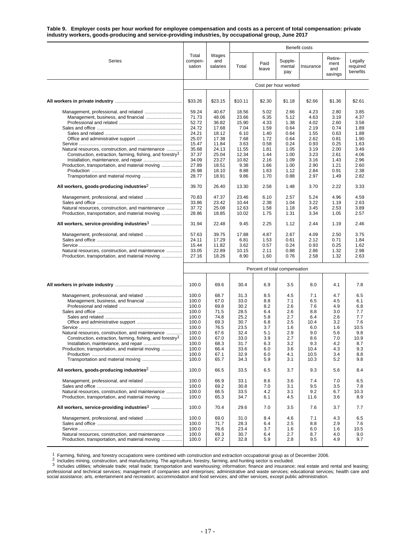**Table 9. Employer costs per hour worked for employee compensation and costs as a percent of total compensation: private industry workers, goods-producing and service-providing industries, by occupational group, June 2017**

|                                                                                                                           |                            |                          | Benefit costs |               |                               |              |                                   |                                 |
|---------------------------------------------------------------------------------------------------------------------------|----------------------------|--------------------------|---------------|---------------|-------------------------------|--------------|-----------------------------------|---------------------------------|
| Series                                                                                                                    | Total<br>compen-<br>sation | Wages<br>and<br>salaries | Total         | Paid<br>leave | Supple-<br>mental<br>pay      | Insurance    | Retire-<br>ment<br>and<br>savings | Legally<br>required<br>benefits |
|                                                                                                                           |                            |                          |               |               | Cost per hour worked          |              |                                   |                                 |
|                                                                                                                           |                            |                          |               |               |                               |              |                                   |                                 |
|                                                                                                                           | \$33.26                    | \$23.15                  | \$10.11       | \$2.30        | \$1.18                        | \$2.66       | \$1.36                            | \$2.61                          |
|                                                                                                                           | 59.24                      | 40.67                    | 18.56         | 5.02          | 2.66                          | 4.23         | 2.80                              | 3.85                            |
|                                                                                                                           | 71.73                      | 48.06                    | 23.66         | 6.35          | 5.12                          | 4.63         | 3.19                              | 4.37                            |
|                                                                                                                           | 52.72                      | 36.82                    | 15.90         | 4.33          | 1.38                          | 4.02         | 2.60                              | 3.58                            |
|                                                                                                                           | 24.72<br>24.21             | 17.68<br>18.12           | 7.04<br>6.10  | 1.59<br>1.40  | 0.64<br>0.64                  | 2.19<br>1.55 | 0.74<br>0.63                      | 1.89<br>1.88                    |
|                                                                                                                           | 25.07                      | 17.38                    | 7.68          | 1.72          | 0.64                          | 2.62         | 0.81                              | 1.90                            |
|                                                                                                                           | 15.47                      | 11.84                    | 3.63          | 0.58          | 0.24                          | 0.93         | 0.25                              | 1.63                            |
| Natural resources, construction, and maintenance                                                                          | 35.68                      | 24.13                    | 11.55         | 1.81          | 1.05                          | 3.19         | 2.00                              | 3.49                            |
| Construction, extraction, farming, fishing, and forestry <sup>1</sup>                                                     | 37.37                      | 25.04                    | 12.34         | 1.44          | 1.00                          | 3.23         | 2.61                              | 4.06                            |
|                                                                                                                           | 34.09                      | 23.27                    | 10.82         | 2.16          | 1.09                          | 3.16         | 1.43                              | 2.96                            |
| Production, transportation, and material moving                                                                           | 27.89                      | 18.51                    | 9.38          | 1.66          | 1.00                          | 2.90         | 1.21                              | 2.60                            |
|                                                                                                                           | 26.98                      | 18.10                    | 8.88          | 1.63          | 1.12                          | 2.84         | 0.91                              | 2.38                            |
|                                                                                                                           | 28.77                      | 18.91                    | 9.86          | 1.70          | 0.88                          | 2.97         | 1.49                              | 2.82                            |
|                                                                                                                           | 39.70                      | 26.40                    | 13.30         | 2.58          | 1.48                          | 3.70         | 2.22                              | 3.33                            |
|                                                                                                                           | 70.83                      | 47.37                    | 23.46         | 6.10          | 2.57                          | 5.24         | 4.96                              | 4.59                            |
|                                                                                                                           | 33.86                      | 23.42                    | 10.44         | 2.38          | 1.04                          | 3.22         | 1.19                              | 2.63                            |
| Natural resources, construction, and maintenance                                                                          | 37.72                      | 25.08                    | 12.63         | 1.58          | 1.18                          | 3.45         | 2.53                              | 3.89                            |
| Production, transportation, and material moving                                                                           | 28.86                      | 18.85                    | 10.02         | 1.75          | 1.31                          | 3.34         | 1.05                              | 2.57                            |
|                                                                                                                           | 31.94                      | 22.48                    | 9.45          | 2.25          | 1.12                          | 2.44         | 1.19                              | 2.46                            |
|                                                                                                                           | 57.63                      | 39.75                    | 17.88         | 4.87          | 2.67                          | 4.09         | 2.50                              | 3.75                            |
|                                                                                                                           | 24.11                      | 17.29                    | 6.81          | 1.53          | 0.61                          | 2.12         | 0.71                              | 1.84                            |
|                                                                                                                           | 15.44                      | 11.82                    | 3.62          | 0.57          | 0.24                          | 0.93         | 0.25                              | 1.62                            |
| Natural resources, construction, and maintenance                                                                          | 33.05                      | 22.89                    | 10.15         | 2.11          | 0.88                          | 2.86         | 1.32                              | 2.98                            |
| Production, transportation, and material moving                                                                           | 27.16                      | 18.26                    | 8.90          | 1.60          | 0.76                          | 2.58         | 1.32                              | 2.63                            |
|                                                                                                                           |                            |                          |               |               | Percent of total compensation |              |                                   |                                 |
|                                                                                                                           |                            |                          |               |               |                               |              |                                   |                                 |
|                                                                                                                           | 100.0                      | 69.6                     | 30.4          | 6.9           | 3.5                           | 8.0          | 4.1                               | 7.8                             |
|                                                                                                                           | 100.0                      | 68.7                     | 31.3          | 8.5           | 4.5                           | 7.1          | 4.7                               | 6.5                             |
|                                                                                                                           | 100.0                      | 67.0                     | 33.0          | 8.8           | 7.1                           | 6.5          | 4.5                               | 6.1                             |
|                                                                                                                           | 100.0                      | 69.8                     | 30.2          | 8.2           | 2.6                           | 7.6          | 4.9                               | 6.8                             |
|                                                                                                                           | 100.0                      | 71.5                     | 28.5          | 6.4           | 2.6                           | 8.8          | 3.0                               | 7.7                             |
|                                                                                                                           | 100.0                      | 74.8                     | 25.2          | 5.8           | 2.7                           | 6.4          | 2.6                               | 7.7                             |
|                                                                                                                           | 100.0                      | 69.3                     | 30.7          | 6.8           | 2.5                           | 10.4         | 3.2                               | 7.6                             |
|                                                                                                                           | 100.0<br>100.0             | 76.5<br>67.6             | 23.5<br>32.4  | 3.7<br>5.1    | 1.6<br>2.9                    | 6.0<br>9.0   | 1.6<br>5.6                        | 10.5<br>9.8                     |
| Natural resources, construction, and maintenance<br>Construction, extraction, farming, fishing, and forestry <sup>1</sup> | 100.0                      | 67.0                     | 33.0          | 3.9           | 2.7                           | 8.6          | 7.0                               | 10.9                            |
|                                                                                                                           | 100.0                      | 68.3                     | 31.7          | 6.3           | 3.2                           | 9.3          | 4.2                               | 8.7                             |
| Production, transportation, and material moving                                                                           | 100.0                      | 66.4                     | 33.6          | 6.0           | 3.6                           | 10.4         | 4.3                               | 9.3                             |
|                                                                                                                           | 100.0                      | 67.1                     | 32.9          | 6.0           | 4.1                           | 10.5         | 3.4                               | 8.8                             |
|                                                                                                                           | 100.0                      | 65.7                     | 34.3          | 5.9           | 3.1                           | 10.3         | 5.2                               | 9.8                             |
|                                                                                                                           | 100.0                      | 66.5                     | 33.5          | 6.5           | 3.7                           | 9.3          | 5.6                               | 8.4                             |
|                                                                                                                           | 100.0                      | 66.9                     | 33.1          | 8.6           | 3.6                           | 7.4          | 7.0                               | 6.5                             |
|                                                                                                                           | 100.0                      | 69.2                     | 30.8          | 7.0           | 3.1                           | 9.5          | 3.5                               | 7.8                             |
| Natural resources, construction, and maintenance                                                                          | 100.0                      | 66.5                     | 33.5          | 4.2           | 3.1                           | 9.2          | 6.7                               | 10.3                            |
| Production, transportation, and material moving                                                                           | 100.0                      | 65.3                     | 34.7          | 6.1           | 4.5                           | 11.6         | 3.6                               | 8.9                             |
|                                                                                                                           | 100.0                      | 70.4                     | 29.6          | 7.0           | 3.5                           | 7.6          | 3.7                               | 7.7                             |
|                                                                                                                           | 100.0                      | 69.0                     | 31.0          | 8.4           | 4.6                           | 7.1          | 4.3                               | 6.5                             |
|                                                                                                                           | 100.0                      | 71.7                     | 28.3          | 6.4           | 2.5                           | 8.8          | 2.9                               | 7.6                             |
|                                                                                                                           | 100.0                      | 76.6                     | 23.4          | 3.7           | 1.6                           | 6.0          | 1.6                               | 10.5                            |
| Natural resources, construction, and maintenance                                                                          | 100.0                      | 69.3                     | 30.7          | 6.4           | 2.7                           | 8.7          | 4.0                               | 9.0                             |
| Production, transportation, and material moving                                                                           | 100.0                      | 67.2                     | 32.8          | 5.9           | 2.8                           | 9.5          | 4.9                               | 9.7                             |

<sup>1</sup> Farming, fishing, and forestry occupations were combined with construction and extraction occupational group as of December 2006.<br><sup>2</sup> Includes mining, construction, and manufacturing. The agriculture, forestry, farming professional and technical services; management of companies and enterprises; administrative and waste services; educational services; health care and social assistance; arts, entertainment and recreation; accommodation and food services; and other services, except public administration.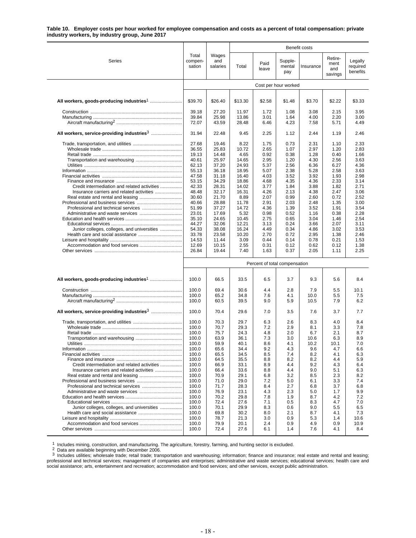#### **Table 10. Employer costs per hour worked for employee compensation and costs as a percent of total compensation: private industry workers, by industry group, June 2017**

|                                                        |                            |                          |                |                               |                          | <b>Benefit costs</b> |                                   |                                 |  |  |
|--------------------------------------------------------|----------------------------|--------------------------|----------------|-------------------------------|--------------------------|----------------------|-----------------------------------|---------------------------------|--|--|
| Series                                                 | Total<br>compen-<br>sation | Wages<br>and<br>salaries | Total          | Paid<br>leave                 | Supple-<br>mental<br>pay | Insurance            | Retire-<br>ment<br>and<br>savings | Legally<br>required<br>benefits |  |  |
|                                                        |                            |                          |                |                               | Cost per hour worked     |                      |                                   |                                 |  |  |
|                                                        |                            |                          |                |                               |                          |                      |                                   |                                 |  |  |
|                                                        | \$39.70                    | \$26.40                  | \$13.30        | \$2.58                        | \$1.48                   | \$3.70               | \$2.22                            | \$3.33                          |  |  |
|                                                        | 39.18                      | 27.20                    | 11.97          | 1.72                          | 1.08                     | 3.08                 | 2.15                              | 3.95                            |  |  |
|                                                        | 39.84<br>72.07             | 25.98<br>43.59           | 13.86<br>28.48 | 3.01<br>6.46                  | 1.64<br>4.23             | 4.00<br>7.58         | 2.20<br>5.71                      | 3.00<br>4.49                    |  |  |
| All workers, service-providing industries <sup>3</sup> | 31.94                      | 22.48                    | 9.45           | 2.25                          | 1.12                     | 2.44                 | 1.19                              | 2.46                            |  |  |
|                                                        |                            |                          |                |                               |                          |                      |                                   |                                 |  |  |
|                                                        | 27.68<br>36.55             | 19.46<br>25.83           | 8.22<br>10.72  | 1.75<br>2.65                  | 0.73<br>1.07             | 2.31<br>2.97         | 1.10<br>1.20                      | 2.33<br>2.83                    |  |  |
|                                                        | 19.13                      | 14.48                    | 4.65           | 0.92                          | 0.38                     | 1.28                 | 0.40                              | 1.66                            |  |  |
|                                                        | 40.61                      | 25.97                    | 14.65          | 2.95                          | 1.20                     | 4.30                 | 2.56                              | 3.63                            |  |  |
|                                                        | 62.13                      | 37.20                    | 24.93          | 5.37                          | 2.56                     | 6.36                 | 6.27                              | 4.36                            |  |  |
|                                                        | 55.13                      | 36.18                    | 18.95          | 5.07                          | 2.38                     | 5.28                 | 2.58                              | 3.63                            |  |  |
|                                                        | 47.58<br>53.15             | 31.18<br>34.29           | 16.40<br>18.86 | 4.03<br>4.68                  | 3.52<br>4.35             | 3.92<br>4.36         | 1.93<br>2.33                      | 2.98<br>3.14                    |  |  |
| Credit intermediation and related activities           | 42.33                      | 28.31                    | 14.02          | 3.77                          | 1.84                     | 3.88                 | 1.82                              | 2.71                            |  |  |
|                                                        | 48.48                      | 32.17                    | 16.31          | 4.26                          | 2.13                     | 4.38                 | 2.47                              | 3.06                            |  |  |
|                                                        | 30.60                      | 21.70                    | 8.89           | 2.07                          | 0.99                     | 2.60                 | 0.72                              | 2.52                            |  |  |
|                                                        | 40.66                      | 28.88                    | 11.78          | 2.91                          | 2.03                     | 2.48                 | 1.35                              | 3.00                            |  |  |
|                                                        | 51.99                      | 37.27                    | 14.72          | 4.36                          | 1.39                     | 3.52                 | 1.91                              | 3.54                            |  |  |
|                                                        | 23.01                      | 17.69                    | 5.32           | 0.98                          | 0.52                     | 1.16                 | 0.38<br>1.46                      | 2.28<br>2.54                    |  |  |
|                                                        | 35.10<br>44.27             | 24.65<br>32.06           | 10.45<br>12.21 | 2.75<br>3.13                  | 0.65<br>0.24             | 3.04<br>3.66         | 2.07                              | 3.11                            |  |  |
| Junior colleges, colleges, and universities            | 54.33                      | 38.08                    | 16.24          | 4.49                          | 0.34                     | 4.86                 | 3.02                              | 3.53                            |  |  |
|                                                        | 33.78                      | 23.58                    | 10.20          | 2.70                          | 0.72                     | 2.95                 | 1.38                              | 2.46                            |  |  |
|                                                        | 14.53                      | 11.44                    | 3.09           | 0.44                          | 0.14                     | 0.78                 | 0.21                              | 1.53                            |  |  |
|                                                        | 12.69                      | 10.15                    | 2.55           | 0.31                          | 0.12                     | 0.62                 | 0.12                              | 1.38                            |  |  |
|                                                        | 26.84                      | 19.44                    | 7.40           | 1.63                          | 0.37                     | 2.05                 | 1.11                              | 2.25                            |  |  |
|                                                        |                            |                          |                | Percent of total compensation |                          |                      |                                   |                                 |  |  |
|                                                        | 100.0                      | 66.5                     | 33.5           | 6.5                           | 3.7                      | 9.3                  | 5.6                               | 8.4                             |  |  |
|                                                        | 100.0                      | 69.4                     | 30.6           | 4.4                           | 2.8                      | 7.9                  | 5.5                               | 10.1                            |  |  |
|                                                        | 100.0                      | 65.2                     | 34.8           | 7.6                           | 4.1                      | 10.0                 | 5.5                               | 7.5                             |  |  |
|                                                        | 100.0                      | 60.5                     | 39.5           | 9.0                           | 5.9                      | 10.5                 | 7.9                               | 6.2                             |  |  |
| All workers, service-providing industries <sup>3</sup> | 100.0                      | 70.4                     | 29.6           | 7.0                           | 3.5                      | 7.6                  | 3.7                               | 7.7                             |  |  |
|                                                        | 100.0                      | 70.3                     | 29.7           | 6.3                           | 2.6                      | 8.3                  | 4.0                               | 8.4                             |  |  |
|                                                        | 100.0                      | 70.7                     | 29.3           | 7.2                           | 2.9                      | 8.1                  | 3.3                               | 7.8                             |  |  |
|                                                        | 100.0                      | 75.7                     | 24.3           | 4.8                           | 2.0                      | 6.7                  | 2.1                               | 8.7                             |  |  |
|                                                        | 100.0                      | 63.9                     | 36.1           | 7.3                           | 3.0                      | 10.6                 | 6.3                               | 8.9                             |  |  |
|                                                        | 100.0                      | 59.9                     | 40.1           | 8.6                           | 4.1                      | 10.2                 | 10.1                              | 7.0                             |  |  |
|                                                        | 100.0                      | 65.6                     | 34.4           | 9.2                           | 4.3                      | 9.6                  | 4.7                               | 6.6                             |  |  |
|                                                        | 100.0                      | 65.5                     | 34.5           | 8.5                           | 7.4                      | 8.2                  | 4.1                               | 6.3                             |  |  |
| Credit intermediation and related activities           | 100.0<br>100.0             | 64.5<br>66.9             | 35.5<br>33.1   | 8.8<br>8.9                    | 8.2<br>4.4               | 8.2<br>9.2           | 4.4<br>4.3                        | 5.9<br>6.4                      |  |  |
|                                                        | 100.0                      | 66.4                     | 33.6           | 8.8                           | 4.4                      | 9.0                  | 5.1                               | 6.3                             |  |  |
|                                                        | 100.0                      | 70.9                     | 29.1           | 6.8                           | 3.2                      | 8.5                  | 2.3                               | 8.2                             |  |  |
|                                                        | 100.0                      | 71.0                     | 29.0           | 7.2                           | 5.0                      | 6.1                  | 3.3                               | 7.4                             |  |  |
|                                                        | 100.0                      | 71.7                     | 28.3           | 8.4                           | 2.7                      | 6.8                  | 3.7                               | 6.8                             |  |  |
|                                                        | 100.0                      | 76.9                     | 23.1           | 4.3                           | 2.3                      | 5.0                  | 1.7                               | 9.9                             |  |  |
|                                                        | 100.0<br>100.0             | 70.2<br>72.4             | 29.8<br>27.6   | 7.8<br>7.1                    | 1.9<br>0.5               | 8.7<br>8.3           | 4.2<br>4.7                        | 7.2<br>7.0                      |  |  |
| Junior colleges, colleges, and universities            | 100.0                      | 70.1                     | 29.9           | 8.3                           | 0.6                      | 9.0                  | 5.5                               | 6.5                             |  |  |
|                                                        | 100.0                      | 69.8                     | 30.2           | 8.0                           | 2.1                      | 8.7                  | 4.1                               | 7.3                             |  |  |
|                                                        | 100.0                      | 78.7                     | 21.3           | 3.0                           | 0.9                      | 5.3                  | 1.4                               | 10.6                            |  |  |
|                                                        | 100.0                      | 79.9                     | 20.1           | 2.4                           | 0.9                      | 4.9                  | 0.9                               | 10.9                            |  |  |
|                                                        | 100.0                      | 72.4                     | 27.6           | 6.1                           | 1.4                      | 7.6                  | 4.1                               | 8.4                             |  |  |

<sup>1</sup> Includes mining, construction, and manufacturing. The agriculture, forestry, farming, and hunting sector is excluded.<br><sup>2</sup> Data are available beginning with December 2006.<br><sup>3</sup> Includes utilities; wholesale trade; retai professional and technical services; management of companies and enterprises; administrative and waste services; educational services; health care and social assistance; arts, entertainment and recreation; accommodation and food services; and other services, except public administration.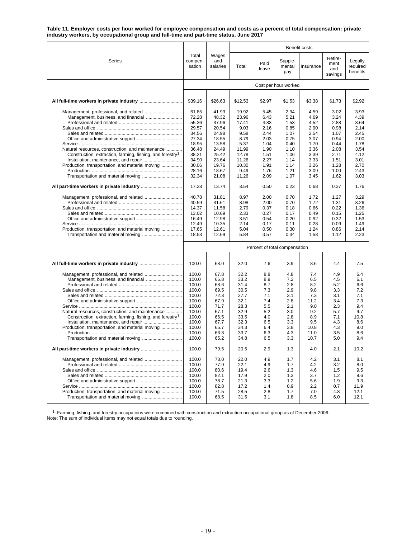**Table 11. Employer costs per hour worked for employee compensation and costs as a percent of total compensation: private industry workers, by occupational group and full-time and part-time status, June 2017**

|                                                                       |                            |                          |              |                               |                          | Benefit costs |                                   |                                 |
|-----------------------------------------------------------------------|----------------------------|--------------------------|--------------|-------------------------------|--------------------------|---------------|-----------------------------------|---------------------------------|
| Series                                                                | Total<br>compen-<br>sation | Wages<br>and<br>salaries | Total        | Paid<br>leave                 | Supple-<br>mental<br>pay | Insurance     | Retire-<br>ment<br>and<br>savings | Legally<br>required<br>benefits |
|                                                                       | Cost per hour worked       |                          |              |                               |                          |               |                                   |                                 |
|                                                                       |                            |                          |              |                               |                          |               |                                   |                                 |
|                                                                       | \$39.16                    | \$26.63                  | \$12.53      | \$2.97                        | \$1.53                   | \$3.38        | \$1.73                            | \$2.92                          |
|                                                                       | 61.85                      | 41.93                    | 19.92        | 5.45                          | 2.94                     | 4.59          | 3.02                              | 3.93                            |
|                                                                       | 72.28                      | 48.32                    | 23.96        | 6.43                          | 5.21                     | 4.69          | 3.24                              | 4.39                            |
|                                                                       | 55.36                      | 37.96                    | 17.41        | 4.83                          | 1.53                     | 4.52          | 2.88                              | 3.64                            |
|                                                                       | 29.57                      | 20.54                    | 9.03         | 2.16                          | 0.85                     | 2.90          | 0.98                              | 2.14                            |
|                                                                       | 34.56                      | 24.98                    | 9.58         | 2.44                          | 1.07                     | 2.54          | 1.07                              | 2.45                            |
|                                                                       | 27.34<br>18.95             | 18.55<br>13.58           | 8.79<br>5.37 | 2.03<br>1.04                  | 0.75<br>0.40             | 3.07<br>1.70  | 0.94<br>0.44                      | 2.00<br>1.78                    |
| Natural resources, construction, and maintenance                      | 36.48                      | 24.49                    | 11.99        | 1.90                          | 1.10                     | 3.36          | 2.08                              | 3.54                            |
| Construction, extraction, farming, fishing, and forestry <sup>1</sup> | 38.21                      | 25.42                    | 12.78        | 1.51                          | 1.06                     | 3.39          | 2.71                              | 4.12                            |
|                                                                       | 34.90                      | 23.64                    | 11.26        | 2.27                          | 1.14                     | 3.33          | 1.51                              | 3.01                            |
| Production, transportation, and material moving                       | 30.06                      | 19.76                    | 10.30        | 1.91                          | 1.14                     | 3.26          | 1.28                              | 2.70                            |
|                                                                       | 28.16                      | 18.67                    | 9.49         | 1.76                          | 1.21                     | 3.09          | 1.00                              | 2.43                            |
|                                                                       | 32.34                      | 21.08                    | 11.26        | 2.09                          | 1.07                     | 3.45          | 1.62                              | 3.03                            |
|                                                                       | 17.28                      | 13.74                    | 3.54         | 0.50                          | 0.23                     | 0.68          | 0.37                              | 1.76                            |
|                                                                       |                            |                          |              |                               |                          |               |                                   |                                 |
|                                                                       | 40.78                      | 31.81                    | 8.97         | 2.00                          | 0.70                     | 1.72          | 1.27                              | 3.29                            |
|                                                                       | 40.59                      | 31.61                    | 8.98         | 2.00                          | 0.70                     | 1.72          | 1.31                              | 3.26                            |
|                                                                       | 14.37                      | 11.58                    | 2.79         | 0.37                          | 0.18                     | 0.66          | 0.22                              | 1.36                            |
|                                                                       | 13.02                      | 10.69                    | 2.33         | 0.27                          | 0.17                     | 0.49          | 0.15                              | 1.25                            |
|                                                                       | 16.49                      | 12.98                    | 3.51         | 0.54                          | 0.20                     | 0.92          | 0.32                              | 1.53                            |
|                                                                       | 12.49                      | 10.35                    | 2.14         | 0.17                          | 0.11                     | 0.28          | 0.09                              | 1.49                            |
| Production, transportation, and material moving                       | 17.65                      | 12.61                    | 5.04         | 0.50                          | 0.30                     | 1.24          | 0.86                              | 2.14                            |
|                                                                       | 18.53                      | 12.69                    | 5.84         | 0.57                          | 0.34                     | 1.58          | 1.12                              | 2.23                            |
|                                                                       |                            |                          |              | Percent of total compensation |                          |               |                                   |                                 |
|                                                                       | 100.0                      | 68.0                     | 32.0         | 7.6                           | 3.9                      | 8.6           | 4.4                               | 7.5                             |
|                                                                       | 100.0                      | 67.8                     | 32.2         | 8.8                           | 4.8                      | 7.4           | 4.9                               | 6.4                             |
|                                                                       | 100.0                      | 66.8                     | 33.2         | 8.9                           | 7.2                      | 6.5           | 4.5                               | 6.1                             |
|                                                                       | 100.0                      | 68.6                     | 31.4         | 8.7                           | 2.8                      | 8.2           | 5.2                               | 6.6                             |
|                                                                       | 100.0                      | 69.5                     | 30.5         | 7.3                           | 2.9                      | 9.8           | 3.3                               | 7.2                             |
|                                                                       | 100.0                      | 72.3                     | 27.7         | 7.1                           | 3.1                      | 7.3           | 3.1                               | 7.1                             |
|                                                                       | 100.0                      | 67.9                     | 32.1         | 7.4                           | 2.8                      | 11.2          | 3.4                               | 7.3                             |
|                                                                       | 100.0                      | 71.7                     | 28.3         | 5.5                           | 2.1                      | 9.0           | 2.3                               | 9.4                             |
| Natural resources, construction, and maintenance                      | 100.0                      | 67.1                     | 32.9         | 5.2                           | 3.0                      | 9.2           | 5.7                               | 9.7                             |
| Construction, extraction, farming, fishing, and forestry <sup>1</sup> | 100.0                      | 66.5                     | 33.5         | 4.0                           | 2.8                      | 8.9           | 7.1                               | 10.8                            |
|                                                                       | 100.0                      | 67.7                     | 32.3         | 6.5                           | 3.3                      | 9.5           | 4.3                               | 8.6                             |
| Production, transportation, and material moving                       | 100.0                      | 65.7                     | 34.3         | 6.4                           | 3.8                      | 10.8          | 4.3                               | 9.0                             |
|                                                                       | 100.0<br>100.0             | 66.3<br>65.2             | 33.7<br>34.8 | 6.3<br>6.5                    | 4.3<br>3.3               | 11.0<br>10.7  | 3.5<br>5.0                        | 8.6<br>9.4                      |
|                                                                       | 100.0                      | 79.5                     | 20.5         | 2.9                           | 1.3                      | 4.0           | 2.1                               | 10.2                            |
|                                                                       |                            |                          |              |                               |                          |               |                                   |                                 |
|                                                                       | 100.0                      | 78.0                     | 22.0         | 4.9                           | 1.7                      | 4.2           | 3.1                               | 8.1                             |
|                                                                       | 100.0                      | 77.9                     | 22.1         | 4.9                           | 1.7                      | 4.2           | 3.2                               | 8.0                             |
|                                                                       | 100.0                      | 80.6                     | 19.4         | 2.6                           | 1.3                      | 4.6           | 1.5                               | 9.5                             |
|                                                                       | 100.0                      | 82.1                     | 17.9         | 2.0                           | 1.3                      | 3.7           | 1.2                               | 9.6                             |
|                                                                       | 100.0                      | 78.7                     | 21.3         | 3.3                           | 1.2                      | 5.6           | 1.9                               | 9.3                             |
|                                                                       | 100.0                      | 82.8                     | 17.2         | 1.4                           | 0.9                      | 2.2           | 0.7                               | 11.9                            |
| Production, transportation, and material moving                       | 100.0<br>100.0             | 71.5<br>68.5             | 28.5<br>31.5 | 2.8<br>3.1                    | 1.7<br>1.8               | 7.0<br>8.5    | 4.8<br>6.0                        | 12.1<br>12.1                    |

<sup>1</sup> Farming, fishing, and forestry occupations were combined with construction and extraction occupational group as of December 2006.<br>Note: The sum of individual items may not equal totals due to rounding.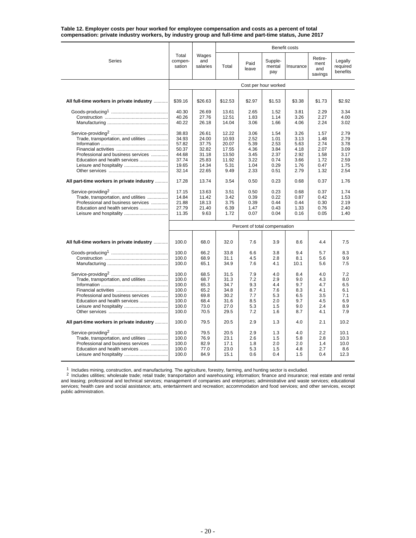|                                           |                            |                          |         |                               |                          | Benefit costs |                                   |                                 |  |  |
|-------------------------------------------|----------------------------|--------------------------|---------|-------------------------------|--------------------------|---------------|-----------------------------------|---------------------------------|--|--|
| <b>Series</b>                             | Total<br>compen-<br>sation | Wages<br>and<br>salaries | Total   | Paid<br>leave                 | Supple-<br>mental<br>pay | Insurance     | Retire-<br>ment<br>and<br>savings | Legally<br>required<br>benefits |  |  |
|                                           | Cost per hour worked       |                          |         |                               |                          |               |                                   |                                 |  |  |
|                                           |                            |                          |         |                               |                          |               |                                   |                                 |  |  |
| All full-time workers in private industry | \$39.16                    | \$26.63                  | \$12.53 | \$2.97                        | \$1.53                   | \$3.38        | \$1.73                            | \$2.92                          |  |  |
|                                           | 40.30                      | 26.69                    | 13.61   | 2.65                          | 1.52                     | 3.81          | 2.29                              | 3.34                            |  |  |
|                                           | 40.26                      | 27.76                    | 12.51   | 1.83                          | 1.14                     | 3.26          | 2.27                              | 4.00                            |  |  |
|                                           | 40.22                      | 26.18                    | 14.04   | 3.06                          | 1.66                     | 4.06          | 2.24                              | 3.02                            |  |  |
|                                           | 38.83                      | 26.61                    | 12.22   | 3.06                          | 1.54                     | 3.26          | 1.57                              | 2.79                            |  |  |
| Trade, transportation, and utilities      | 34.93                      | 24.00                    | 10.93   | 2.52                          | 1.01                     | 3.13          | 1.48                              | 2.79                            |  |  |
|                                           | 57.82                      | 37.75                    | 20.07   | 5.39                          | 2.53                     | 5.63          | 2.74                              | 3.78                            |  |  |
|                                           | 50.37                      | 32.82                    | 17.55   | 4.36                          | 3.84                     | 4.18          | 2.07                              | 3.09                            |  |  |
| Professional and business services        | 44.68                      | 31.18                    | 13.50   | 3.45                          | 2.37                     | 2.92          | 1.58                              | 3.17                            |  |  |
| Education and health services             | 37.74                      | 25.83                    | 11.92   | 3.22                          | 0.74                     | 3.66          | 1.72                              | 2.59                            |  |  |
|                                           | 19.65                      | 14.34                    | 5.31    | 1.04                          | 0.29                     | 1.76          | 0.47                              | 1.75                            |  |  |
|                                           | 32.14                      | 22.65                    | 9.49    | 2.33                          | 0.51                     | 2.79          | 1.32                              | 2.54                            |  |  |
| All part-time workers in private industry | 17.28                      | 13.74                    | 3.54    | 0.50                          | 0.23                     | 0.68          | 0.37                              | 1.76                            |  |  |
|                                           | 17.15                      | 13.63                    | 3.51    | 0.50                          | 0.23                     | 0.68          | 0.37                              | 1.74                            |  |  |
| Trade, transportation, and utilities      | 14.84                      | 11.42                    | 3.42    | 0.39                          | 0.22                     | 0.87          | 0.42                              | 1.53                            |  |  |
| Professional and business services        | 21.88                      | 18.13                    | 3.75    | 0.39                          | 0.44                     | 0.44          | 0.30                              | 2.19                            |  |  |
| Education and health services             | 27.79                      | 21.40                    | 6.39    | 1.47                          | 0.43                     | 1.33          | 0.76                              | 2.40                            |  |  |
|                                           | 11.35                      | 9.63                     | 1.72    | 0.07                          | 0.04                     | 0.16          | 0.05                              | 1.40                            |  |  |
|                                           |                            |                          |         | Percent of total compensation |                          |               |                                   |                                 |  |  |
|                                           |                            |                          |         |                               |                          |               |                                   |                                 |  |  |
| All full-time workers in private industry | 100.0                      | 68.0                     | 32.0    | 7.6                           | 3.9                      | 8.6           | 4.4                               | 7.5                             |  |  |
|                                           | 100.0                      | 66.2                     | 33.8    | 6.6                           | 3.8                      | 9.4           | 5.7                               | 8.3                             |  |  |
|                                           | 100.0                      | 68.9                     | 31.1    | 4.5                           | 2.8                      | 8.1           | 5.6                               | 9.9                             |  |  |
|                                           | 100.0                      | 65.1                     | 34.9    | 7.6                           | 4.1                      | 10.1          | 5.6                               | 7.5                             |  |  |
|                                           | 100.0                      | 68.5                     | 31.5    | 7.9                           | 4.0                      | 8.4           | 4.0                               | 7.2                             |  |  |
| Trade, transportation, and utilities      | 100.0                      | 68.7                     | 31.3    | 7.2                           | 2.9                      | 9.0           | 4.3                               | 8.0                             |  |  |
|                                           | 100.0                      | 65.3                     | 34.7    | 9.3                           | 4.4                      | 9.7           | 4.7                               | 6.5                             |  |  |
|                                           | 100.0                      | 65.2                     | 34.8    | 8.7                           | 7.6                      | 8.3           | 4.1                               | 6.1                             |  |  |
| Professional and business services        | 100.0                      | 69.8                     | 30.2    | 7.7                           | 5.3                      | 6.5           | 3.5                               | 7.1                             |  |  |
| Education and health services             | 100.0                      | 68.4                     | 31.6    | 8.5                           | 2.0                      | 9.7           | 4.5                               | 6.9                             |  |  |
|                                           | 100.0                      | 73.0                     | 27.0    | 5.3                           | 1.5                      | 9.0           | 2.4                               | 8.9                             |  |  |
|                                           | 100.0                      | 70.5                     | 29.5    | 7.2                           | 1.6                      | 8.7           | 4.1                               | 7.9                             |  |  |
| All part-time workers in private industry | 100.0                      | 79.5                     | 20.5    | 2.9                           | 1.3                      | 4.0           | 2.1                               | 10.2                            |  |  |
|                                           | 100.0                      | 79.5                     | 20.5    | 2.9                           | 1.3                      | 4.0           | 2.2                               | 10.1                            |  |  |
| Trade, transportation, and utilities      | 100.0                      | 76.9                     | 23.1    | 2.6                           | 1.5                      | 5.8           | 2.8                               | 10.3                            |  |  |
| Professional and business services        | 100.0                      | 82.9                     | 17.1    | 1.8                           | 2.0                      | 2.0           | 1.4                               | 10.0                            |  |  |
| Education and health services             | 100.0                      | 77.0                     | 23.0    | 5.3                           | 1.5                      | 4.8           | 2.7                               | 8.6                             |  |  |
|                                           | 100.0                      | 84.9                     | 15.1    | 0.6                           | 0.4                      | 1.5           | 0.4                               | 12.3                            |  |  |

#### **Table 12. Employer costs per hour worked for employee compensation and costs as a percent of total compensation: private industry workers, by industry group and full-time and part-time status, June 2017**

<sup>1</sup> Includes mining, construction, and manufacturing. The agriculture, forestry, farming, and hunting sector is excluded.<br><sup>2</sup> Includes utilities; wholesale trade; retail trade; transportation and warehousing; information; public administration.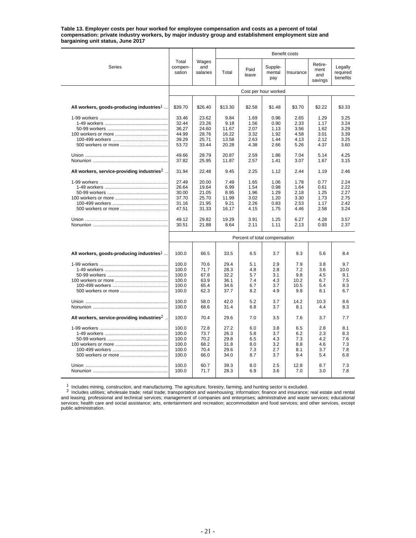**Table 13. Employer costs per hour worked for employee compensation and costs as a percent of total compensation: private industry workers, by major industry group and establishment employment size and bargaining unit status, June 2017**

|                                                          |                            |                          |               |                               |                          | <b>Benefit costs</b> |                                   |                                 |  |  |
|----------------------------------------------------------|----------------------------|--------------------------|---------------|-------------------------------|--------------------------|----------------------|-----------------------------------|---------------------------------|--|--|
| Series                                                   | Total<br>compen-<br>sation | Wages<br>and<br>salaries | Total         | Paid<br>leave                 | Supple-<br>mental<br>pay | Insurance            | Retire-<br>ment<br>and<br>savings | Legally<br>required<br>benefits |  |  |
|                                                          | Cost per hour worked       |                          |               |                               |                          |                      |                                   |                                 |  |  |
|                                                          |                            |                          |               |                               |                          |                      |                                   |                                 |  |  |
| All workers, goods-producing industries <sup>1</sup>     | \$39.70                    | \$26.40                  | \$13.30       | \$2.58                        | \$1.48                   | \$3.70               | \$2.22                            | \$3.33                          |  |  |
|                                                          | 33.46                      | 23.62                    | 9.84          | 1.69                          | 0.96                     | 2.65                 | 1.29                              | 3.25                            |  |  |
|                                                          | 32.44                      | 23.26                    | 9.18          | 1.56                          | 0.90                     | 2.33                 | 1.17                              | 3.24                            |  |  |
|                                                          | 36.27                      | 24.60                    | 11.67         | 2.07                          | 1.13                     | 3.56                 | 1.62                              | 3.29                            |  |  |
|                                                          | 44.99                      | 28.76                    | 16.22         | 3.32                          | 1.92                     | 4.58                 | 3.01                              | 3.39                            |  |  |
|                                                          | 39.29                      | 25.71                    | 13.58         | 2.63                          | 1.44                     | 4.13                 | 2.12                              | 3.25                            |  |  |
|                                                          | 53.72                      | 33.44                    | 20.28         | 4.38                          | 2.66                     | 5.26                 | 4.37                              | 3.60                            |  |  |
|                                                          | 49.66                      | 28.79                    | 20.87         | 2.59                          | 1.86                     | 7.04                 | 5.14                              | 4.25                            |  |  |
|                                                          | 37.82                      | 25.95                    | 11.87         | 2.57                          | 1.41                     | 3.07                 | 1.67                              | 3.15                            |  |  |
| All workers, service-providing industries <sup>2</sup> . | 31.94                      | 22.48                    | 9.45          | 2.25                          | 1.12                     | 2.44                 | 1.19                              | 2.46                            |  |  |
|                                                          |                            |                          |               |                               |                          |                      |                                   |                                 |  |  |
|                                                          | 27.49                      | 20.00                    | 7.49          | 1.65                          | 1.06                     | 1.78                 | 0.77                              | 2.24                            |  |  |
|                                                          | 26.64                      | 19.64                    | 6.99          | 1.54                          | 0.98                     | 1.64                 | 0.61                              | 2.22                            |  |  |
|                                                          | 30.00                      | 21.05                    | 8.95          | 1.96                          | 1.29                     | 2.18                 | 1.25                              | 2.27                            |  |  |
|                                                          | 37.70                      | 25.70                    | 11.99         | 3.02                          | 1.20                     | 3.30                 | 1.73                              | 2.75                            |  |  |
|                                                          | 31.16                      | 21.95                    | 9.21          | 2.26                          | 0.83                     | 2.53                 | 1.17                              | 2.42                            |  |  |
|                                                          | 47.51                      | 31.33                    | 16.17         | 4.15                          | 1.75                     | 4.46                 | 2.58                              | 3.24                            |  |  |
|                                                          | 49.12<br>30.51             | 29.82<br>21.88           | 19.29<br>8.64 | 3.91<br>2.11                  | 1.25<br>1.11             | 6.27<br>2.13         | 4.28<br>0.93                      | 3.57<br>2.37                    |  |  |
|                                                          |                            |                          |               | Percent of total compensation |                          |                      |                                   |                                 |  |  |
|                                                          |                            |                          |               |                               |                          |                      |                                   |                                 |  |  |
| All workers, goods-producing industries <sup>1</sup>     | 100.0                      | 66.5                     | 33.5          | 6.5                           | 3.7                      | 9.3                  | 5.6                               | 8.4                             |  |  |
|                                                          | 100.0                      | 70.6                     | 29.4          | 5.1                           | 2.9                      | 7.9                  | 3.8                               | 9.7                             |  |  |
|                                                          | 100.0                      | 71.7                     | 28.3          | 4.8                           | 2.8                      | 7.2                  | 3.6                               | 10.0                            |  |  |
|                                                          | 100.0                      | 67.8                     | 32.2          | 5.7                           | 3.1                      | 9.8                  | 4.5                               | 9.1                             |  |  |
|                                                          | 100.0                      | 63.9                     | 36.1          | 7.4                           | 4.3                      | 10.2                 | 6.7                               | 7.5                             |  |  |
|                                                          | 100.0                      | 65.4                     | 34.6          | 6.7                           | 3.7                      | 10.5                 | 5.4                               | 8.3                             |  |  |
|                                                          | 100.0                      | 62.3                     | 37.7          | 8.2                           | 4.9                      | 9.8                  | 8.1                               | 6.7                             |  |  |
|                                                          | 100.0                      | 58.0                     | 42.0          | 5.2                           | 3.7                      | 14.2                 | 10.3                              | 8.6                             |  |  |
|                                                          | 100.0                      | 68.6                     | 31.4          | 6.8                           | 3.7                      | 8.1                  | 4.4                               | 8.3                             |  |  |
| All workers, service-providing industries <sup>2</sup> . | 100.0                      | 70.4                     | 29.6          | 7.0                           | 3.5                      | 7.6                  | 3.7                               | 7.7                             |  |  |
|                                                          | 100.0                      | 72.8                     | 27.2          | 6.0                           | 3.8                      | 6.5                  | 2.8                               | 8.1                             |  |  |
|                                                          | 100.0                      | 73.7                     | 26.3          | 5.8                           | 3.7                      | 6.2                  | 2.3                               | 8.3                             |  |  |
|                                                          | 100.0                      | 70.2                     | 29.8          | 6.5                           | 4.3                      | 7.3                  | 4.2                               | 7.6                             |  |  |
|                                                          | 100.0                      | 68.2                     | 31.8          | 8.0                           | 3.2                      | 8.8                  | 4.6                               | 7.3                             |  |  |
|                                                          | 100.0                      | 70.4                     | 29.6          | 7.3                           | 2.7                      | 8.1                  | 3.7                               | 7.8                             |  |  |
|                                                          | 100.0                      | 66.0                     | 34.0          | 8.7                           | 3.7                      | 9.4                  | 5.4                               | 6.8                             |  |  |
|                                                          |                            |                          |               |                               |                          |                      |                                   |                                 |  |  |
|                                                          | 100.0<br>100.0             | 60.7<br>71.7             | 39.3<br>28.3  | 8.0<br>6.9                    | 2.5<br>3.6               | 12.8<br>7.0          | 8.7<br>3.0                        | 7.3<br>7.8                      |  |  |
|                                                          |                            |                          |               |                               |                          |                      |                                   |                                 |  |  |

1 Includes mining, construction, and manufacturing. The agriculture, forestry, farming, and hunting sector is excluded.<br>2 Includes utilities; wholesale trade; retail trade; transportation and warehousing; information; fina and leasing; professional and technical services; management of companies and enterprises; administrative and waste services; educational services; health care and social assistance; arts, entertainment and recreation; accommodation and food services; and other services, except public administration.